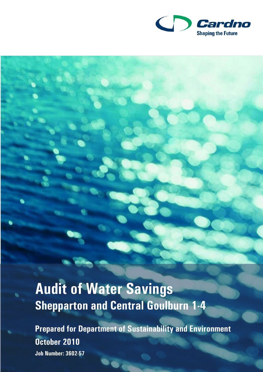

# **Audit of Water Savings Shepparton and Central Goulburn 1-4**

**Prepared for Department of Sustainability and Environment October 2010 Job Number: 3602-57**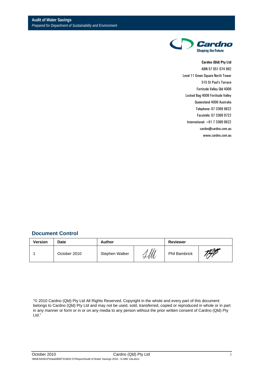

#### **Cardno (Qld) Pty Ltd**

ABN 57 051 074 992 Level 11 Green Square North Tower 515 St Paul's Terrace Fortitude Valley Qld 4006 Locked Bag 4006 Fortitude Valley Queensland 4006 Australia Telephone: 07 3369 9822 Facsimile: 07 3369 9722 International: +61 7 3369 9822 cardno@cardno.com.au www.cardno.com.au

#### **Document Control**

| <b>Version</b> | Date<br>Author<br><b>Reviewer</b> |                |   |                      |  |
|----------------|-----------------------------------|----------------|---|----------------------|--|
|                | October 2010                      | Stephen Walker | М | <b>Phil Bambrick</b> |  |

"© 2010 Cardno (Qld) Pty Ltd All Rights Reserved. Copyright in the whole and every part of this document belongs to Cardno (Qld) Pty Ltd and may not be used, sold, transferred, copied or reproduced in whole or in part in any manner or form or in or on any media to any person without the prior written consent of Cardno (Qld) Pty Ltd."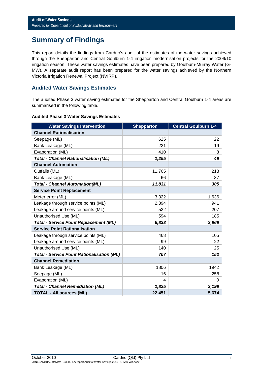# **Summary of Findings**

This report details the findings from Cardno's audit of the estimates of the water savings achieved through the Shepparton and Central Goulburn 1-4 irrigation modernisation projects for the 2009/10 irrigation season. These water savings estimates have been prepared by Goulburn-Murray Water (G-MW). A separate audit report has been prepared for the water savings achieved by the Northern Victoria Irrigation Renewal Project (NVIRP).

#### **Audited Water Savings Estimates**

The audited Phase 3 water saving estimates for the Shepparton and Central Goulburn 1-4 areas are summarised in the following table.

#### **Audited Phase 3 Water Savings Estimates**

| <b>Water Savings Intervention</b>                 | <b>Shepparton</b> | <b>Central Goulburn 1-4</b> |
|---------------------------------------------------|-------------------|-----------------------------|
| <b>Channel Rationalisation</b>                    |                   |                             |
| Seepage (ML)                                      | 625               | 22                          |
| Bank Leakage (ML)                                 | 221               | 19                          |
| Evaporation (ML)                                  | 410               | 8                           |
| <b>Total - Channel Rationalisation (ML)</b>       | 1,255             | 49                          |
| <b>Channel Automation</b>                         |                   |                             |
| Outfalls (ML)                                     | 11,765            | 218                         |
| Bank Leakage (ML)                                 | 66                | 87                          |
| <b>Total - Channel Automation(ML)</b>             | 11,831            | 305                         |
| <b>Service Point Replacement</b>                  |                   |                             |
| Meter error (ML)                                  | 3,322             | 1,636                       |
| Leakage through service points (ML)               | 2,394             | 941                         |
| Leakage around service points (ML)                | 522               | 207                         |
| Unauthorised Use (ML)                             | 594               | 185                         |
| <b>Total - Service Point Replacement (ML)</b>     | 6,833             | 2,969                       |
| <b>Service Point Rationalisation</b>              |                   |                             |
| Leakage through service points (ML)               | 468               | 105                         |
| Leakage around service points (ML)                | 99                | 22                          |
| Unauthorised Use (ML)                             | 140               | 25                          |
| <b>Total - Service Point Rationalisation (ML)</b> | 707               | 152                         |
| <b>Channel Remediation</b>                        |                   |                             |
| Bank Leakage (ML)                                 | 1806              | 1942                        |
| Seepage (ML)                                      | 16                | 258                         |
| Evaporation (ML)                                  | 4                 | 0                           |
| <b>Total - Channel Remediation (ML)</b>           | 1,825             | 2,199                       |
| <b>TOTAL - All sources (ML)</b>                   | 22,451            | 5,674                       |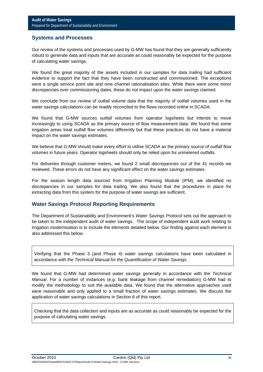### **Systems and Processes**

Our review of the systems and processes used by G-MW has found that they are generally sufficiently robust to generate data and inputs that are accurate as could reasonably be expected for the purpose of calculating water savings.

We found the great majority of the assets included in our samples for data trailing had sufficient evidence to support the fact that they have been constructed and commissioned. The exceptions were a single service point site and nine channel rationalisation sites. While there were some minor discrepancies over commissioning dates, these do not impact upon the water savings claimed.

We conclude from our review of outfall volume data that the majority of outfall volumes used in the water savings calculations can be readily reconciled to the flows recorded online in SCADA.

We found that G-MW sources outfall volumes from operator logsheets but intends to move increasingly to using SCADA as the primary source of flow measurement data. We found that some irrigation areas treat outfall flow volumes differently but that these practices do not have a material impact on the water savings estimates.

We believe that G-MW should make every effort to utilise SCADA as the primary source of outfall flow volumes in future years. Operator logsheets should only be relied upon for unmetered outfalls.

For deliveries through customer meters, we found 2 small discrepancies out of the 41 records we reviewed. These errors do not have any significant effect on the water savings estimates.

For the season length data sourced from Irrigation Planning Module (IPM), we identified no discrepancies in our samples for data trailing. We also found that the procedures in place for extracting data from this system for the purpose of water savings are sufficient.

#### **Water Savings Protocol Reporting Requirements**

The Department of Sustainability and Environment's *Water Savings Protocol* sets out the approach to be taken to the independent audit of water savings. The scope of independent audit work relating to irrigation modernisation is to include the elements detailed below. Our finding against each element is also addressed this below.

Verifying that the Phase 3 (and Phase 4) water savings calculations have been calculated in accordance with the *Technical Manual for the Quantification of Water Savings*.

We found that G-MW had determined water savings generally in accordance with the *Technical Manual*. For a number of instances (e.g. bank leakage from channel remediation) G-MW had to modify the methodology to suit the available data. We found that the alternative approaches used were reasonable and only applied to a small fraction of water savings estimates. We discuss the application of water savings calculations in Section 6 of this report.

Checking that the data collection and inputs are as accurate as could reasonably be expected for the purpose of calculating water savings.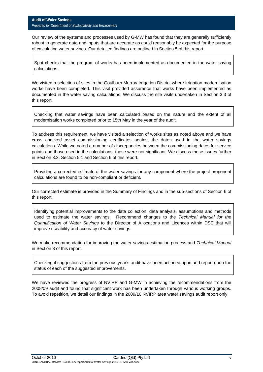Our review of the systems and processes used by G-MW has found that they are generally sufficiently robust to generate data and inputs that are accurate as could reasonably be expected for the purpose of calculating water savings. Our detailed findings are outlined in Section 5 of this report.

Spot checks that the program of works has been implemented as documented in the water saving calculations.

We visited a selection of sites in the Goulburn Murray Irrigation District where irrigation modernisation works have been completed. This visit provided assurance that works have been implemented as documented in the water saving calculations. We discuss the site visits undertaken in Section 3.3 of this report.

Checking that water savings have been calculated based on the nature and the extent of all modernisation works completed prior to 15th May in the year of the audit.

To address this requirement, we have visited a selection of works sites as noted above and we have cross checked asset commissioning certificates against the dates used in the water savings calculations. While we noted a number of discrepancies between the commissioning dates for service points and those used in the calculations, these were not significant. We discuss these issues further in Section 3.3, Section 5.1 and Section 6 of this report.

Providing a corrected estimate of the water savings for any component where the project proponent calculations are found to be non-compliant or deficient.

Our corrected estimate is provided in the Summary of Findings and in the sub-sections of Section 6 of this report.

Identifying potential improvements to the data collection, data analysis, assumptions and methods used to estimate the water savings. Recommend changes to the *Technical Manual for the Quantification of Water Savings* to the Director of Allocations and Licences within DSE that will improve useability and accuracy of water savings.

We make recommendation for improving the water savings estimation process and *Technical Manual*  in Section 8 of this report.

Checking if suggestions from the previous year's audit have been actioned upon and report upon the status of each of the suggested improvements.

We have reviewed the progress of NVIRP and G-MW in achieving the recommendations from the 2008/09 audit and found that significant work has been undertaken through various working groups. To avoid repetition, we detail our findings in the 2009/10 NVIRP area water savings audit report only.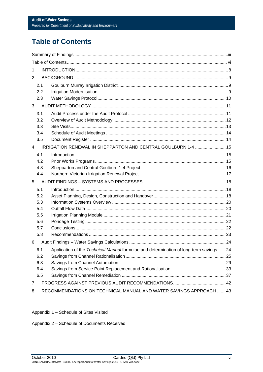# **Table of Contents**

| 1              |                                                                   |                                                                                            |  |  |
|----------------|-------------------------------------------------------------------|--------------------------------------------------------------------------------------------|--|--|
| 2              |                                                                   |                                                                                            |  |  |
|                | 2.1                                                               |                                                                                            |  |  |
|                | 2.2                                                               |                                                                                            |  |  |
|                | 2.3                                                               |                                                                                            |  |  |
| 3              |                                                                   |                                                                                            |  |  |
|                | 3.1                                                               |                                                                                            |  |  |
|                | 3.2                                                               |                                                                                            |  |  |
|                | 3.3                                                               |                                                                                            |  |  |
|                | 3.4                                                               |                                                                                            |  |  |
|                | 3.5                                                               |                                                                                            |  |  |
| 4              |                                                                   | IRRIGATION RENEWAL IN SHEPPARTON AND CENTRAL GOULBURN 1-4  15                              |  |  |
|                | 4.1                                                               |                                                                                            |  |  |
|                | 4.2                                                               |                                                                                            |  |  |
|                | 4.3                                                               |                                                                                            |  |  |
|                | 4.4                                                               |                                                                                            |  |  |
| 5              |                                                                   |                                                                                            |  |  |
|                | 5.1                                                               |                                                                                            |  |  |
|                | 5.2                                                               |                                                                                            |  |  |
|                | 5.3                                                               |                                                                                            |  |  |
|                | 5.4<br>5.5                                                        |                                                                                            |  |  |
|                | 5.6                                                               |                                                                                            |  |  |
|                | 5.7                                                               |                                                                                            |  |  |
|                | 5.8                                                               |                                                                                            |  |  |
| 6              |                                                                   |                                                                                            |  |  |
|                |                                                                   | 6.1 Application of the Technical Manual formulae and determination of long-term savings 24 |  |  |
|                | 6.2                                                               |                                                                                            |  |  |
|                | 6.3                                                               |                                                                                            |  |  |
|                | 6.4                                                               |                                                                                            |  |  |
|                | 6.5                                                               |                                                                                            |  |  |
| $\overline{7}$ |                                                                   |                                                                                            |  |  |
| 8              | RECOMMENDATIONS ON TECHNICAL MANUAL AND WATER SAVINGS APPROACH 43 |                                                                                            |  |  |

Appendix 1 - Schedule of Sites Visited

Appendix 2 - Schedule of Documents Received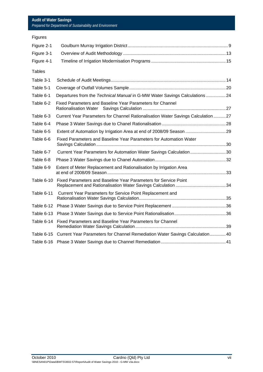| <b>Figures</b> |                                                                                  |  |
|----------------|----------------------------------------------------------------------------------|--|
| Figure 2-1     |                                                                                  |  |
| Figure 3-1     |                                                                                  |  |
| Figure 4-1     |                                                                                  |  |
| <b>Tables</b>  |                                                                                  |  |
| Table 3-1      |                                                                                  |  |
| Table 5-1      |                                                                                  |  |
| Table 6-1      | Departures from the Technical Manual in G-MW Water Savings Calculations 24       |  |
| Table 6-2      | Fixed Parameters and Baseline Year Parameters for Channel                        |  |
| Table 6-3      | Current Year Parameters for Channel Rationalisation Water Savings Calculation 27 |  |
| Table 6-4      |                                                                                  |  |
| Table 6-5      | Extent of Automation by Irrigation Area at end of 2008/09 Season  29             |  |
| Table 6-6      | Fixed Parameters and Baseline Year Parameters for Automation Water               |  |
| Table 6-7      | Current Year Parameters for Automation Water Savings Calculation30               |  |
| Table 6-8      |                                                                                  |  |
| Table 6-9      | Extent of Meter Replacement and Rationalisation by Irrigation Area               |  |
| Table 6-10     | Fixed Parameters and Baseline Year Parameters for Service Point                  |  |
| Table 6-11     | Current Year Parameters for Service Point Replacement and                        |  |
| Table 6-12     |                                                                                  |  |
| Table 6-13     |                                                                                  |  |
| Table 6-14     | Fixed Parameters and Baseline Year Parameters for Channel                        |  |
| Table 6-15     | Current Year Parameters for Channel Remediation Water Savings Calculation 40     |  |
|                |                                                                                  |  |
|                |                                                                                  |  |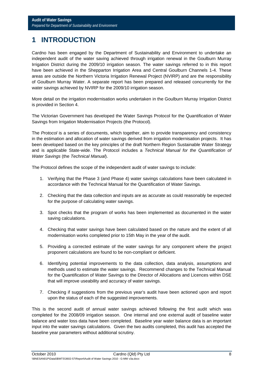# **1 INTRODUCTION**

Cardno has been engaged by the Department of Sustainability and Environment to undertake an independent audit of the water saving achieved through irrigation renewal in the Goulburn Murray Irrigation District during the 2009/10 irrigation season. The water savings referred to in this report have been achieved in the Shepparton Irrigation Area and Central Goulburn Channels 1-4. These areas are outside the Northern Victoria Irrigation Renewal Project (NVIRP) and are the responsibility of Goulburn Murray Water. A separate report has been prepared and released concurrently for the water savings achieved by NVIRP for the 2009/10 irrigation season.

More detail on the irrigation modernisation works undertaken in the Goulburn Murray Irrigation District is provided in Section 4.

The Victorian Government has developed the Water Savings Protocol for the Quantification of Water Savings from Irrigation Modernisation Projects (the Protocol).

The *Protocol* is a series of documents, which together, aim to provide transparency and consistency in the estimation and allocation of water savings derived from irrigation modernisation projects. It has been developed based on the key principles of the draft Northern Region Sustainable Water Strategy and is applicable State-wide. The Protocol includes a *Technical Manual for the Quantification of Water Savings* (the *Technical Manual*).

The Protocol defines the scope of the independent audit of water savings to include:

- 1. Verifying that the Phase 3 (and Phase 4) water savings calculations have been calculated in accordance with the Technical Manual for the Quantification of Water Savings.
- 2. Checking that the data collection and inputs are as accurate as could reasonably be expected for the purpose of calculating water savings.
- 3. Spot checks that the program of works has been implemented as documented in the water saving calculations.
- 4. Checking that water savings have been calculated based on the nature and the extent of all modernisation works completed prior to 15th May in the year of the audit.
- 5. Providing a corrected estimate of the water savings for any component where the project proponent calculations are found to be non-compliant or deficient.
- 6. Identifying potential improvements to the data collection, data analysis, assumptions and methods used to estimate the water savings. Recommend changes to the Technical Manual for the Quantification of Water Savings to the Director of Allocations and Licences within DSE that will improve useability and accuracy of water savings.
- 7. Checking if suggestions from the previous year's audit have been actioned upon and report upon the status of each of the suggested improvements.

This is the second audit of annual water savings achieved following the first audit which was completed for the 2008/09 irrigation season. One internal and one external audit of baseline water balance and water loss data have been completed. Baseline year water balance data is an important input into the water savings calculations. Given the two audits completed, this audit has accepted the baseline year parameters without additional scrutiny.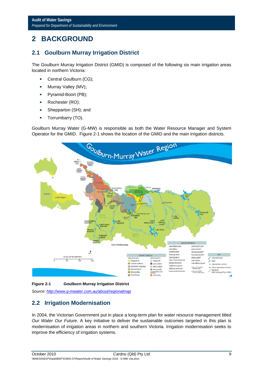# **2 BACKGROUND**

# **2.1 Goulburn Murray Irrigation District**

The Goulburn Murray Irrigation District (GMID) is composed of the following six main irrigation areas located in northern Victoria:

- Central Goulburn (CG);
- **Murray Valley (MV);**
- **Pyramid-Boort (PB);**
- Rochester (RO);
- **Shepparton (SH); and**
- **Torrumbarry (TO).**

Goulburn Murray Water (G-MW) is responsible as both the Water Resource Manager and System Operator for the GMID. Figure 2-1 shows the location of the GMID and the main irrigation districts.



#### **Figure 2-1 Goulburn Murray Irrigation District**

*Source: http://www.g-mwater.com.au/about/regionalmap*

# **2.2 Irrigation Modernisation**

In 2004, the Victorian Government put in place a long-term plan for water resource management titled *Our Water Our Future*. A key initiative to deliver the sustainable outcomes targeted in this plan is modernisation of irrigation areas in northern and southern Victoria. Irrigation modernisation seeks to improve the efficiency of irrigation systems.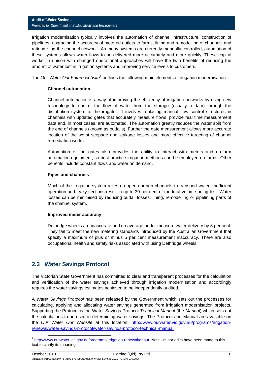#### **Audit of Water Savings**  *Prepared for Department of Sustainability and Environment*

Irrigation modernisation typically involves the automation of channel infrastructure, construction of pipelines, upgrading the accuracy of metered outlets to farms, lining and remodelling of channels and rationalising the channel network. As many systems are currently manually controlled, automation of these systems allows water flows to be delivered more accurately and more quickly. These capital works, in unison with changed operational approaches will have the twin benefits of reducing the amount of water lost in irrigation systems and improving service levels to customers.

The Our Water Our Future website<sup>1</sup> outlines the following main elements of irrigation modernisation:

#### **Channel automation**

Channel automation is a way of improving the efficiency of irrigation networks by using new technology to control the flow of water from the storage (usually a dam) through the distribution system to the irrigator. It involves replacing manual flow control structures in channels with updated gates that accurately measure flows, provide real time measurement data and, in most cases, are automated. The automation greatly reduces the water spilt from the end of channels (known as outfalls). Further the gate measurement allows more accurate location of the worst seepage and leakage losses and more effective targeting of channel remediation works.

Automation of the gates also provides the ability to interact with meters and on-farm automation equipment, so best practice irrigation methods can be employed on farms. Other benefits include constant flows and water on demand.

#### **Pipes and channels**

Much of the irrigation system relies on open earthen channels to transport water. Inefficient operation and leaky sections result in up to 30 per cent of the total volume being lost. Water losses can be minimised by reducing outfall losses, lining, remodelling or pipelining parts of the channel system.

#### **Improved meter accuracy**

Dethridge wheels are inaccurate and on average under-measure water delivery by 8 per cent. They fail to meet the new metering standards introduced by the Australian Government that specify a maximum of plus or minus 5 per cent measurement inaccuracy. There are also occupational health and safety risks associated with using Dethridge wheels.

# **2.3 Water Savings Protocol**

The Victorian State Government has committed to clear and transparent processes for the calculation and verification of the water savings achieved through irrigation modernisation and accordingly requires the water savings estimates achieved to be independently audited.

A *Water Savings Protocol* has been released by the Government which sets out the processes for calculating, applying and allocating water savings generated from irrigation modernisation projects. Supporting the Protocol is the Water Savings Protocol *Technical Manual* (the *Manual*) which sets out the calculations to be used in determining water savings. The Protocol and Manual are available on the *Our Water Our Website* at this location: http://www.ourwater.vic.gov.au/programs/irrigationrenewal/water-savings-protocol/water-savings-protocol-technical-manual.

<sup>&</sup>lt;sup>1</sup> http://www.ourwater.vic.gov.au/programs/irrigation-renewal/about</u>. Note - minor edits have been made to this text to clarify its meaning.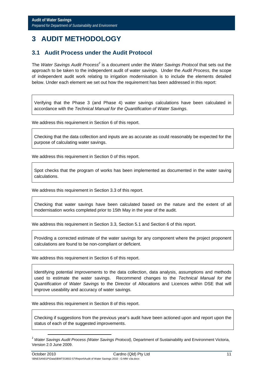# **3 AUDIT METHODOLOGY**

# **3.1 Audit Process under the Audit Protocol**

The *Water Savings Audit Process<sup>2</sup>* is a document under the *Water Savings Protocol* that sets out the approach to be taken to the independent audit of water savings. Under the *Audit Process,* the scope of independent audit work relating to irrigation modernisation is to include the elements detailed below. Under each element we set out how the requirement has been addressed in this report:

Verifying that the Phase 3 (and Phase 4) water savings calculations have been calculated in accordance with the *Technical Manual for the Quantification of Water Savings*.

We address this requirement in Section 6 of this report.

Checking that the data collection and inputs are as accurate as could reasonably be expected for the purpose of calculating water savings.

We address this requirement in Section 0 of this report.

Spot checks that the program of works has been implemented as documented in the water saving calculations.

We address this requirement in Section 3.3 of this report.

Checking that water savings have been calculated based on the nature and the extent of all modernisation works completed prior to 15th May in the year of the audit.

We address this requirement in Section 3.3, Section 5.1 and Section 6 of this report.

Providing a corrected estimate of the water savings for any component where the project proponent calculations are found to be non-compliant or deficient.

We address this requirement in Section 6 of this report.

Identifying potential improvements to the data collection, data analysis, assumptions and methods used to estimate the water savings. Recommend changes to the *Technical Manual for the Quantification of Water Savings* to the Director of Allocations and Licences within DSE that will improve useability and accuracy of water savings.

We address this requirement in Section 8 of this report.

Checking if suggestions from the previous year's audit have been actioned upon and report upon the status of each of the suggested improvements.

<sup>&</sup>lt;sup>2</sup> Water Savings Audit Process (Water Savings Protocol), Department of Sustainability and Environment Victoria, Version 2.0 June 2009.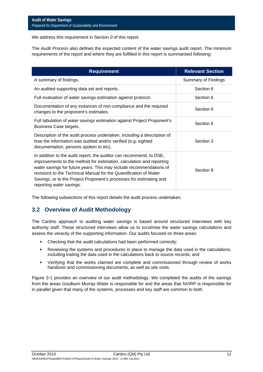We address this requirement in Section 0 of this report.

The *Audit Process* also defines the expected content of the water savings audit report. The minimum requirements of the report and where they are fulfilled in this report is summarised following:

| <b>Requirement</b>                                                                                                                                                                                                                                                                                                                                                                         | <b>Relevant Section</b> |
|--------------------------------------------------------------------------------------------------------------------------------------------------------------------------------------------------------------------------------------------------------------------------------------------------------------------------------------------------------------------------------------------|-------------------------|
| A summary of findings.                                                                                                                                                                                                                                                                                                                                                                     | Summary of Findings     |
| An audited supporting data set and reports.                                                                                                                                                                                                                                                                                                                                                | Section 6               |
| Full evaluation of water savings estimation against protocol.                                                                                                                                                                                                                                                                                                                              | Section 6               |
| Documentation of any instances of non-compliance and the required<br>changes to the proponent's estimates.                                                                                                                                                                                                                                                                                 | Section 6               |
| Full tabulation of water savings estimation against Project Proponent's<br>Business Case targets.                                                                                                                                                                                                                                                                                          | Section 6               |
| Description of the audit process undertaken, including a description of<br>how the information was audited and/or verified (e.g. sighted<br>documentation, persons spoken to etc).                                                                                                                                                                                                         | Section 3               |
| In addition to the audit report, the auditor can recommend, to DSE,<br>improvements to the method for estimation, calculation and reporting<br>water savings for future years. This may include recommendations of<br>revisions to the Technical Manual for the Quantification of Water<br>Savings, or to the Project Proponent's processes for estimating and<br>reporting water savings. | Section 8               |

The following subsections of this report details the audit process undertaken.

# **3.2 Overview of Audit Methodology**

The Cardno approach to auditing water savings is based around structured interviews with key authority staff. These structured interviews allow us to scrutinise the water savings calculations and assess the veracity of the supporting information. Our audits focused on three areas:

- Checking that the audit calculations had been performed correctly;
- Reviewing the systems and procedures in place to manage the data used in the calculations, including trailing the data used in the calculations back to source records; and
- Verifying that the works claimed are complete and commissioned through review of works handover and commissioning documents, as well as site visits.

Figure 3-1 provides an overview of our audit methodology. We completed the audits of the savings from the areas Goulburn Murray Water is responsible for and the areas that NVIRP is responsible for in parallel given that many of the systems, processes and key staff are common to both.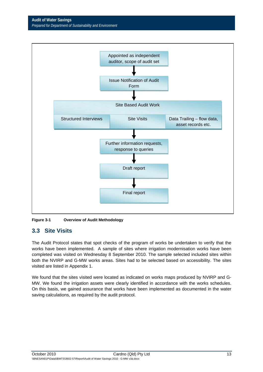**Audit of Water Savings**  *Prepared for Department of Sustainability and Environment* 



**Figure 3-1 Overview of Audit Methodology** 

# **3.3 Site Visits**

The Audit Protocol states that spot checks of the program of works be undertaken to verify that the works have been implemented. A sample of sites where irrigation modernisation works have been completed was visited on Wednesday 8 September 2010. The sample selected included sites within both the NVIRP and G-MW works areas. Sites had to be selected based on accessibility. The sites visited are listed in Appendix 1.

We found that the sites visited were located as indicated on works maps produced by NVIRP and G-MW. We found the irrigation assets were clearly identified in accordance with the works schedules. On this basis, we gained assurance that works have been implemented as documented in the water saving calculations, as required by the audit protocol.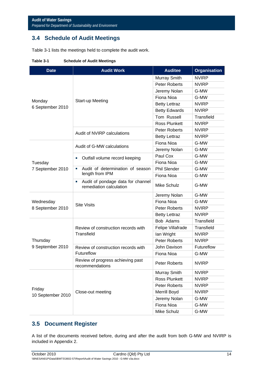# **3.4 Schedule of Audit Meetings**

Table 3-1 lists the meetings held to complete the audit work.

| <b>Date</b>       | <b>Audit Work</b>                                                 | <b>Auditee</b>       | <b>Organisation</b> |
|-------------------|-------------------------------------------------------------------|----------------------|---------------------|
|                   |                                                                   | Murray Smith         | <b>NVIRP</b>        |
|                   |                                                                   | <b>Peter Roberts</b> | <b>NVIRP</b>        |
|                   |                                                                   | Jeremy Nolan         | G-MW                |
|                   |                                                                   | Fiona Nioa           | G-MW                |
| Monday            | <b>Start-up Meeting</b>                                           | <b>Betty Lettraz</b> | <b>NVIRP</b>        |
| 6 September 2010  |                                                                   | <b>Betty Edwards</b> | <b>NVIRP</b>        |
|                   |                                                                   | Tom Russell          | Transfield          |
|                   |                                                                   | <b>Ross Plunkett</b> | <b>NVIRP</b>        |
|                   |                                                                   | Peter Roberts        | <b>NVIRP</b>        |
|                   | Audit of NVIRP calculations                                       | <b>Betty Lettraz</b> | <b>NVIRP</b>        |
|                   |                                                                   | Fiona Nioa           | G-MW                |
|                   | Audit of G-MW calculations                                        | Jeremy Nolan         | G-MW                |
|                   | Outfall volume record keeping<br>П                                | Paul Cox             | G-MW                |
| Tuesday           |                                                                   | Fiona Nioa           | G-MW                |
| 7 September 2010  | Audit of determination of season<br>ш                             | Phil Slender         | G-MW                |
|                   | length from IPM                                                   | Fiona Nioa           | G-MW                |
|                   | Audit of pondage data for channel<br>П<br>remediation calculation | Mike Schulz          | G-MW                |
|                   |                                                                   | Jeremy Nolan         | G-MW                |
| Wednesday         | <b>Site Visits</b>                                                | Fiona Nioa           | G-MW                |
| 8 September 2010  |                                                                   | Peter Roberts        | <b>NVIRP</b>        |
|                   |                                                                   | <b>Betty Lettraz</b> | <b>NVIRP</b>        |
|                   |                                                                   | Bob Adams            | Transfield          |
|                   | Review of construction records with                               | Felipe Villafrade    | Transfield          |
|                   | Transfield                                                        | lan Wright           | <b>NVIRP</b>        |
| Thursday          |                                                                   | Peter Roberts        | <b>NVIRP</b>        |
| 9 September 2010  | Review of construction records with                               | John Davison         | Futureflow          |
|                   | Futureflow                                                        | Fiona Nioa           | G-MW                |
|                   | Review of progress achieving past<br>recommendations              | Peter Roberts        | <b>NVIRP</b>        |
|                   |                                                                   | Murray Smith         | <b>NVIRP</b>        |
|                   |                                                                   | Ross Plunkett        | <b>NVIRP</b>        |
|                   |                                                                   | Peter Roberts        | <b>NVIRP</b>        |
| Friday            | Close-out meeting                                                 | Merrill Boyd         | <b>NVIRP</b>        |
| 10 September 2010 |                                                                   | Jeremy Nolan         | G-MW                |
|                   |                                                                   | Fiona Nioa           | G-MW                |
|                   |                                                                   | Mike Schulz          | G-MW                |

#### **Table 3-1 Schedule of Audit Meetings**

# **3.5 Document Register**

A list of the documents received before, during and after the audit from both G-MW and NVIRP is included in Appendix 2.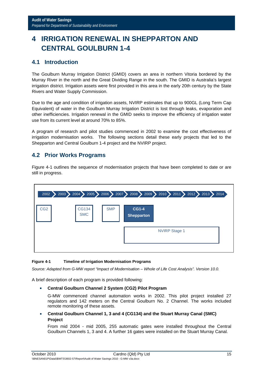# **4 IRRIGATION RENEWAL IN SHEPPARTON AND CENTRAL GOULBURN 1-4**

# **4.1 Introduction**

The Goulburn Murray Irrigation District (GMID) covers an area in northern Vitoria bordered by the Murray River in the north and the Great Dividing Range in the south. The GMID is Australia's largest irrigation district. Irrigation assets were first provided in this area in the early 20th century by the State Rivers and Water Supply Commission.

Due to the age and condition of irrigation assets, NVIRP estimates that up to 900GL (Long Term Cap Equivalent) of water in the Goulburn Murray Irrigation District is lost through leaks, evaporation and other inefficiencies. Irrigation renewal in the GMID seeks to improve the efficiency of irrigation water use from its current level at around 70% to 85%.

A program of research and pilot studies commenced in 2002 to examine the cost effectiveness of irrigation modernisation works. The following sections detail these early projects that led to the Shepparton and Central Goulburn 1-4 project and the NVIRP project.

# **4.2 Prior Works Programs**

Figure 4-1 outlines the sequence of modernisation projects that have been completed to date or are still in progress.

| 2003<br>2002    | $2004$ $\blacktriangleright$<br>$\boldsymbol{\lambda}$ |            |                                   | $2005$ 2006 2007 2008 2009 2010 2011 2012 2013 2005 | 2014 |
|-----------------|--------------------------------------------------------|------------|-----------------------------------|-----------------------------------------------------|------|
| CG <sub>2</sub> | CG134<br><b>SMC</b>                                    | <b>SMP</b> | <b>CG1-4</b><br><b>Shepparton</b> |                                                     |      |
|                 |                                                        |            |                                   | <b>NVIRP Stage 1</b>                                |      |
|                 |                                                        |            |                                   |                                                     |      |

#### **Figure 4-1 Timeline of Irrigation Modernisation Programs**

*Source: Adapted from G-MW report "Impact of Modernisation – Whole of Life Cost Analysis". Version 10.0.* 

A brief description of each program is provided following:

**Central Goulburn Channel 2 System (CG2) Pilot Program** 

G-MW commenced channel automation works in 2002. This pilot project installed 27 regulators and 142 meters on the Central Goulburn No. 2 Channel. The works included remote monitoring of these assets.

 **Central Goulburn Channel 1, 3 and 4 (CG134) and the Stuart Murray Canal (SMC) Project** 

From mid 2004 - mid 2005, 255 automatic gates were installed throughout the Central Goulburn Channels 1, 3 and 4. A further 16 gates were installed on the Stuart Murray Canal.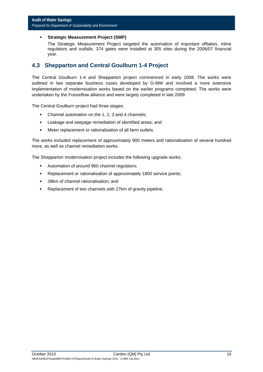#### **Strategic Measurement Project (SMP)**

The Strategic Measurement Project targeted the automation of important offtakes, inline regulators and outfalls. 374 gates were installed at 305 sites during the 2006/07 financial year.

### **4.3 Shepparton and Central Goulburn 1-4 Project**

The Central Goulburn 1-4 and Shepparton project commenced in early 2008. The works were outlined in two separate business cases developed by G-MW and involved a more extensive implementation of modernisation works based on the earlier programs completed. The works were undertaken by the Futureflow alliance and were largely completed in late 2009.

The Central Goulburn project had three stages:

- Channel automation on the 1, 2, 3 and 4 channels;
- **EXEC** Leakage and seepage remediation of identified areas; and
- Meter replacement or rationalisation of all farm outlets.

The works included replacement of approximately 900 meters and rationalisation of several hundred more, as well as channel remediation works.

The Shepparton modernisation project includes the following upgrade works:

- Automation of around 960 channel regulators;
- **Replacement or rationalisation of approximately 1800 service points;**
- 39km of channel rationalisation; and
- Replacement of two channels with 27km of gravity pipeline.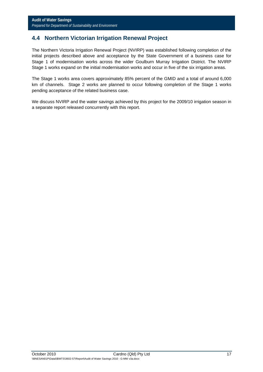# **4.4 Northern Victorian Irrigation Renewal Project**

The Northern Victoria Irrigation Renewal Project (NVIRP) was established following completion of the initial projects described above and acceptance by the State Government of a business case for Stage 1 of modernisation works across the wider Goulburn Murray Irrigation District. The NVIRP Stage 1 works expand on the initial modernisation works and occur in five of the six irrigation areas.

The Stage 1 works area covers approximately 85% percent of the GMID and a total of around 6,000 km of channels. Stage 2 works are planned to occur following completion of the Stage 1 works pending acceptance of the related business case.

We discuss NVIRP and the water savings achieved by this project for the 2009/10 irrigation season in a separate report released concurrently with this report.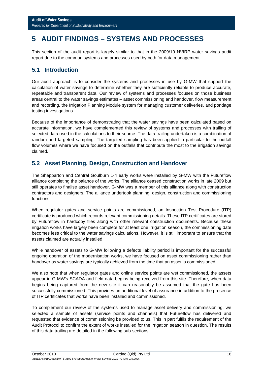# **5 AUDIT FINDINGS – SYSTEMS AND PROCESSES**

This section of the audit report is largely similar to that in the 2009/10 NVIRP water savings audit report due to the common systems and processes used by both for data management.

# **5.1 Introduction**

Our audit approach is to consider the systems and processes in use by G-MW that support the calculation of water savings to determine whether they are sufficiently reliable to produce accurate, repeatable and transparent data. Our review of systems and processes focuses on those business areas central to the water savings estimates – asset commissioning and handover, flow measurement and recording, the Irrigation Planning Module system for managing customer deliveries, and pondage testing investigations.

Because of the importance of demonstrating that the water savings have been calculated based on accurate information, we have complemented this review of systems and processes with trailing of selected data used in the calculations to their source. The data trailing undertaken is a combination of random and targeted sampling. The targeted sampling has been applied in particular to the outfall flow volumes where we have focused on the outfalls that contribute the most to the irrigation savings claimed.

# **5.2 Asset Planning, Design, Construction and Handover**

The Shepparton and Central Goulburn 1-4 early works were installed by G-MW with the Futureflow alliance completing the balance of the works. The alliance ceased construction works in late 2009 but still operates to finalise asset handover. G-MW was a member of this alliance along with construction contractors and designers. The alliance undertook planning, design, construction and commissioning functions.

When regulator gates and service points are commissioned, an Inspection Test Procedure (ITP) certificate is produced which records relevant commissioning details. These ITP certificates are stored by Futureflow in hardcopy files along with other relevant construction documents. Because these irrigation works have largely been complete for at least one irrigation season, the commissioning date becomes less critical to the water savings calculations. However, it is still important to ensure that the assets claimed are actually installed.

While handover of assets to G-MW following a defects liability period is important for the successful ongoing operation of the modernisation works, we have focused on asset commissioning rather than handover as water savings are typically achieved from the time that an asset is commissioned.

We also note that when regulator gates and online service points are wet commissioned, the assets appear in G-MW's SCADA and field data begins being received from this site. Therefore, when data begins being captured from the new site it can reasonably be assumed that the gate has been successfully commissioned. This provides an additional level of assurance in addition to the presence of ITP certificates that works have been installed and commissioned.

To complement our review of the systems used to manage asset delivery and commissioning, we selected a sample of assets (service points and channels) that Futureflow has delivered and requested that evidence of commissioning be provided to us. This in part fulfils the requirement of the Audit Protocol to confirm the extent of works installed for the irrigation season in question. The results of this data trailing are detailed in the following sub-sections.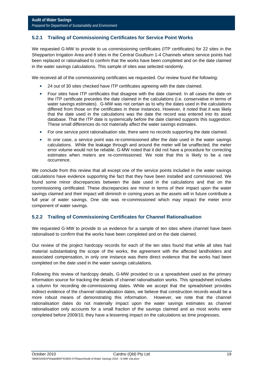#### **5.2.1 Trailing of Commissioning Certificates for Service Point Works**

We requested G-MW to provide to us commissioning certificates (ITP certificates) for 22 sites in the Shepparton Irrigation Area and 8 sites in the Central Goulburn 1-4 Channels where service points had been replaced or rationalised to confirm that the works have been completed and on the date claimed in the water savings calculations. This sample of sites was selected randomly.

We received all of the commissioning certificates we requested. Our review found the following:

- 24 out of 30 sites checked have ITP certificates agreeing with the date claimed.
- **F** Four sites have ITP certificates that disagree with the date claimed. In all cases the date on the ITP certificate precedes the date claimed in the calculations (i.e. conservative in terms of water savings estimates). G-MW was not certain as to why the dates used in the calculations differed from those on the certificates in these instances. However, it noted that it was likely that the date used in the calculations was the date the record was entered into its asset database. That the ITP date is systemically before the date claimed supports this suggestion. These small differences do not materially affect the water savings estimates.
- **For one service point rationalisation site, there were no records supporting the date claimed.**
- In one case, a service point was re-commissioned after the date used in the water savings calculations. While the leakage through and around the meter will be unaffected, the meter error volume would not be reliable. G-MW noted that it did not have a procedure for correcting estimates when meters are re-commissioned. We note that this is likely to be a rare occurrence.

We conclude from this review that all except one of the service points included in the water savings calculations have evidence supporting the fact that they have been installed and commissioned. We found some minor discrepancies between the date used in the calculations and that on the commissioning certificated. These discrepancies are minor in terms of their impact upon the water savings claimed and their impact will diminish in coming years as the assets will in future contribute a full year of water savings. One site was re-commissioned which may impact the meter error component of water savings.

#### **5.2.2 Trailing of Commissioning Certificates for Channel Rationalisation**

We requested G-MW to provide to us evidence for a sample of ten sites where channel have been rationalised to confirm that the works have been completed and on the date claimed.

Our review of the project hardcopy records for each of the ten sites found that while all sites had material substantiating the scope of the works, the agreement with the affected landholders and associated compensation, in only one instance was there direct evidence that the works had been completed on the date used in the water savings calculations.

Following this review of hardcopy details, G-MW provided to us a spreadsheet used as the primary information source for tracking the details of channel rationalisation works. This spreadsheet includes a column for recording de-commissioning dates. While we accept that the spreadsheet provides indirect evidence of the channel rationalisation dates, we believe that construction records would be a more robust means of demonstrating this information. However, we note that the channel rationalisation dates do not materially impact upon the water savings estimates as channel rationalisation only accounts for a small fraction of the savings claimed and as most works were completed before 2009/10, they have a lessening impact on the calculations as time progresses.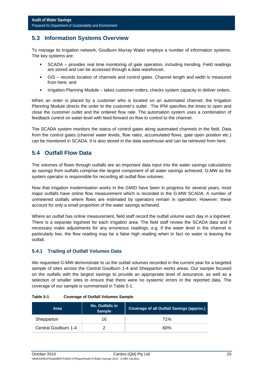# **5.3 Information Systems Overview**

To manage its irrigation network, Goulburn Murray Water employs a number of information systems. The key systems are:

- SCADA provides real time monitoring of gate operation, including trending. Field readings are stored and can be accessed through a data warehouse;
- GIS records location of channels and control gates. Channel length and width is measured from here; and
- **IFILA** Irrigation Planning Module takes customer orders, checks system capacity to deliver orders.

When an order is placed by a customer who is located on an automated channel, the Irrigation Planning Module directs the order to the customer's outlet. The IPM specifies the times to open and close the customer outlet and the ordered flow rate. The automation system uses a combination of feedback control on water level with feed-forward on flow to control to the channel.

The SCADA system monitors the status of control gates along automated channels in the field. Data from the control gates (channel water levels, flow rates, accumulated flows, gate open position etc.) can be monitored in SCADA. It is also stored in the data warehouse and can be retrieved from here.

# **5.4 Outfall Flow Data**

The volumes of flows through outfalls are an important data input into the water savings calculations as savings from outfalls comprise the largest component of all water savings achieved. G-MW as the system operator is responsible for recording all outfall flow volumes.

Now that irrigation modernisation works in the GMID have been in progress for several years, most major outfalls have online flow measurement which is recorded in the G-MW SCADA. A number of unmetered outfalls where flows are estimated by operators remain in operation. However, these account for only a small proportion of the water savings achieved.

Where an outfall has online measurement, field staff record the outfall volume each day in a logsheet. There is a separate logsheet for each irrigation area. The field staff review the SCADA data and if necessary make adjustments for any erroneous readings, e.g. if the water level in the channel is particularly low, the flow reading may be a false high reading when in fact no water is leaving the outfall.

#### **5.4.1 Trailing of Outfall Volumes Data**

We requested G-MW demonstrate to us the outfall volumes recorded in the current year for a targeted sample of sites across the Central Goulburn 1-4 and Shepparton works areas. Our sample focused on the outfalls with the largest savings to provide an appropriate level of assurance, as well as a selection of smaller sites to ensure that there were no systemic errors in the reported data. The coverage of our sample is summarised in Table 5-1.

| Area                 | <b>No. Outfalls in</b><br><b>Sample</b> | <b>Coverage of all Outfall Savings (approx.)</b> |
|----------------------|-----------------------------------------|--------------------------------------------------|
| Shepparton           | 16                                      | 71%                                              |
| Central Goulburn 1-4 |                                         | 60%                                              |

#### **Table 5-1 Coverage of Outfall Volumes Sample**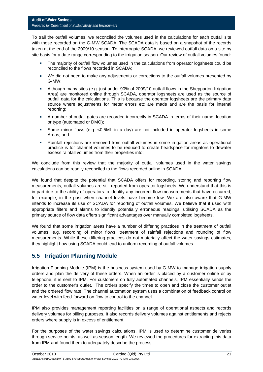To trail the outfall volumes, we reconciled the volumes used in the calculations for each outfall site with those recorded on the G-MW SCADA. The SCADA data is based on a snapshot of the records taken at the end of the 2009/10 season. To interrogate SCADA, we reviewed outfall data on a site by site basis for a date range corresponding to the irrigation season. Our review of outfall volumes found:

- The majority of outfall flow volumes used in the calculations from operator logsheets could be reconciled to the flows recorded in SCADA;
- We did not need to make any adjustments or corrections to the outfall volumes presented by G-MW;
- Although many sites (e.g. just under 90% of 2009/10 outfall flows in the Shepparton Irrigation Area) are monitored online through SCADA, operator logsheets are used as the source of outfall data for the calculations. This is because the operator logsheets are the primary data source where adjustments for meter errors etc are made and are the basis for internal reporting;
- A number of outfall gates are recorded incorrectly in SCADA in terms of their name, location or type (automated or DMO);
- Some minor flows (e.g. <0.5ML in a day) are not included in operator logsheets in some Areas; and
- Rainfall rejections are removed from outfall volumes in some irrigation areas as operational practice is for channel volumes to be reduced to create headspace for irrigators to dewater excess rainfall volumes from their properties into;

We conclude from this review that the majority of outfall volumes used in the water savings calculations can be readily reconciled to the flows recorded online in SCADA.

We found that despite the potential that SCADA offers for recording, storing and reporting flow measurements, outfall volumes are still reported from operator logsheets. We understand that this is in part due to the ability of operators to identify any incorrect flow measurements that have occurred, for example, in the past when channel levels have become low. We are also aware that G-MW intends to increase its use of SCADA for reporting of outfall volumes. We believe that if used with appropriate filters and alarms to identify potentially erroneous readings, utilising SCADA as the primary source of flow data offers significant advantages over manually completed logsheets.

We found that some irrigation areas have a number of differing practices in the treatment of outfall volumes, e.g. recording of minor flows, treatment of rainfall rejections and rounding of flow measurements. While these differing practices do not materially affect the water savings estimates, they highlight how using SCADA could lead to uniform recording of outfall volumes.

# **5.5 Irrigation Planning Module**

Irrigation Planning Module (IPM) is the business system used by G-MW to manage irrigation supply orders and plan the delivery of these orders. When an order is placed by a customer online or by telephone, it is sent to IPM. For customers on fully automated channels, IPM essentially sends the order to the customer's outlet. The orders specify the times to open and close the customer outlet and the ordered flow rate. The channel automation system uses a combination of feedback control on water level with feed-forward on flow to control to the channel

IPM also provides management reporting facilities on a range of operational aspects and records delivery volumes for billing purposes. It also records delivery volumes against entitlements and rejects orders where supply is in excess of entitlement.

For the purposes of the water savings calculations, IPM is used to determine customer deliveries through service points, as well as season length. We reviewed the procedures for extracting this data from IPM and found them to adequately describe the process.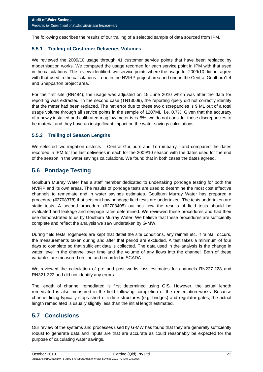The following describes the results of our trailing of a selected sample of data sourced from IPM.

#### **5.5.1 Trailing of Customer Deliveries Volumes**

We reviewed the 2009/10 usage through 41 customer service points that have been replaced by modernisation works. We compared the usage recorded for each service point in IPM with that used in the calculations. The review identified two service points where the usage for 2009/10 did not agree with that used in the calculations – one in the NVIRP project area and one in the Central Goulburn1-4 and Shepparton project area.

For the first site (RN484), the usage was adjusted on 15 June 2010 which was after the data for reporting was extracted. In the second case (TN13009), the reporting query did not correctly identify that the meter had been replaced. The net error due to these two discrepancies is 9 ML out of a total usage volume through all service points in the sample of 1207ML, i.e. 0.7%. Given that the accuracy of a newly installed and calibrated magflow meter is +/-5%, we do not consider these discrepancies to be material and they have an insignificant impact on the water savings calculations.

#### **5.5.2 Trailing of Season Lengths**

We selected two irrigation districts – Central Goulburn and Torrumbarry - and compared the dates recorded in IPM for the last deliveries in each for the 2009/10 season with the dates used for the end of the season in the water savings calculations. We found that in both cases the dates agreed.

# **5.6 Pondage Testing**

Goulburn Murray Water has a staff member dedicated to undertaking pondage testing for both the NVIRP and its own areas. The results of pondage tests are used to determine the most cost effective channels to remediate and in water savings estimates. Goulburn Murray Water has prepared a procedure (#2708378) that sets out how pondage field tests are undertaken. The tests undertaken are static tests. A second procedure (#2708405) outlines how the results of field tests should be evaluated and leakage and seepage rates determined. We reviewed these procedures and had their use demonstrated to us by Goulburn Murray Water. We believe that these procedures are sufficiently complete and reflect the analysis we saw undertaken by G-MW.

During field tests, logsheets are kept that detail the site conditions, any rainfall etc. If rainfall occurs, the measurements taken during and after that period are excluded. A test takes a minimum of four days to complete so that sufficient data is collected. The data used in the analysis is the change in water level in the channel over time and the volume of any flows into the channel. Both of these variables are measured on-line and recorded in SCADA.

We reviewed the calculation of pre and post works loss estimates for channels RN227-228 and RN321-322 and did not identify any errors.

The length of channel remediated is first determined using GIS. However, the actual length remediated is also measured in the field following completion of the remediation works. Because channel lining typically stops short of in-line structures (e.g. bridges) and regulator gates, the actual length remediated is usually slightly less than the initial length estimated.

# **5.7 Conclusions**

Our review of the systems and processes used by G-MW has found that they are generally sufficiently robust to generate data and inputs are that are accurate as could reasonably be expected for the purpose of calculating water savings.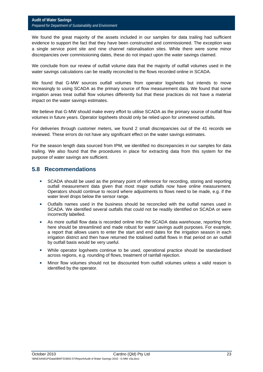We found the great majority of the assets included in our samples for data trailing had sufficient evidence to support the fact that they have been constructed and commissioned. The exception was a single service point site and nine channel rationalisation sites. While there were some minor discrepancies over commissioning dates, these do not impact upon the water savings claimed.

We conclude from our review of outfall volume data that the majority of outfall volumes used in the water savings calculations can be readily reconciled to the flows recorded online in SCADA.

We found that G-MW sources outfall volumes from operator logsheets but intends to move increasingly to using SCADA as the primary source of flow measurement data. We found that some irrigation areas treat outfall flow volumes differently but that these practices do not have a material impact on the water savings estimates.

We believe that G-MW should make every effort to utilise SCADA as the primary source of outfall flow volumes in future years. Operator logsheets should only be relied upon for unmetered outfalls.

For deliveries through customer meters, we found 2 small discrepancies out of the 41 records we reviewed. These errors do not have any significant effect on the water savings estimates.

For the season length data sourced from IPM, we identified no discrepancies in our samples for data trailing. We also found that the procedures in place for extracting data from this system for the purpose of water savings are sufficient.

### **5.8 Recommendations**

- **SCADA** should be used as the primary point of reference for recording, storing and reporting outfall measurement data given that most major outfalls now have online measurement. Operators should continue to record where adjustments to flows need to be made, e.g. if the water level drops below the sensor range.
- Outfalls names used in the business should be reconciled with the outfall names used in SCADA. We identified several outfalls that could not be readily identified on SCADA or were incorrectly labelled.
- As more outfall flow data is recorded online into the SCADA data warehouse, reporting from here should be streamlined and made robust for water savings audit purposes. For example, a report that allows users to enter the start and end dates for the irrigation season in each irrigation district and then have returned the totalised outfall flows in that period on an outfall by outfall basis would be very useful.
- While operator logsheets continue to be used, operational practice should be standardised across regions, e.g. rounding of flows, treatment of rainfall rejection.
- Minor flow volumes should not be discounted from outfall volumes unless a valid reason is identified by the operator.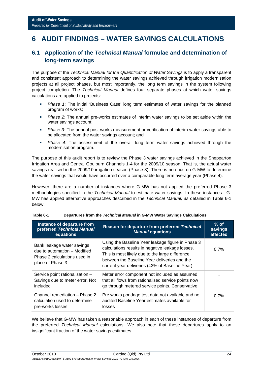# **6 AUDIT FINDINGS – WATER SAVINGS CALCULATIONS**

# **6.1 Application of the** *Technical Manual* **formulae and determination of long-term savings**

The purpose of the *Technical Manual for the Quantification of Water Savings* is to apply a transparent and consistent approach to determining the water savings achieved through irrigation modernisation projects at all project phases, but most importantly, the long term savings in the system following project completion. The *Technical Manual* defines four separate phases at which water savings calculations are applied to projects:

- *Phase 1*: The initial 'Business Case' long term estimates of water savings for the planned program of works;
- *Phase 2*: The annual pre-works estimates of interim water savings to be set aside within the water savings account;
- *Phase 3*: The annual post-works measurement or verification of interim water savings able to be allocated from the water savings account; and
- *Phase 4*: The assessment of the overall long term water savings achieved through the modernisation program.

The purpose of this audit report is to review the Phase 3 water savings achieved in the Shepparton Irrigation Area and Central Goulburn Channels 1-4 for the 2009/10 season. That is, the actual water savings realised in the 2009/10 irrigation season (Phase 3). There is no onus on G-MW to determine the water savings that would have occurred over a comparable long term average year (Phase 4).

However, there are a number of instances where G-MW has not applied the preferred Phase 3 methodologies specified in the *Technical Manual* to estimate water savings. In these instances , G-MW has applied alternative approaches described in the *Technical Manual, as* detailed in Table 6-1 below.

| Instance of departure from<br>preferred Technical Manual<br>equations                                           | Reason for departure from preferred Technical<br><b>Manual equations</b>                                                                                                                                                                                   | $%$ of<br>savings<br>affected |
|-----------------------------------------------------------------------------------------------------------------|------------------------------------------------------------------------------------------------------------------------------------------------------------------------------------------------------------------------------------------------------------|-------------------------------|
| Bank leakage water savings<br>due to automation - Modified<br>Phase 2 calculations used in<br>place of Phase 3. | Using the Baseline Year leakage figure in Phase 3<br>calculations results in negative leakage losses.<br>This is most likely due to the large difference<br>between the Baseline Year deliveries and the<br>current year deliveries (43% of Baseline Year) | 0.7%                          |
| Service point rationalisation -<br>Savings due to meter error. Not<br>included                                  | Meter error component not included as assumed<br>that all flows from rationalised service points now<br>go through metered service points. Conservative.                                                                                                   |                               |
| Channel remediation - Phase 2<br>calculation used to determine<br>pre-works losses                              | Pre works pondage test data not available and no<br>audited Baseline Year estimates available for<br>losses                                                                                                                                                | 0.7%                          |

| Table 6-1 | Departures from the Technical Manual in G-MW Water Savings Calculations |
|-----------|-------------------------------------------------------------------------|
|-----------|-------------------------------------------------------------------------|

We believe that G-MW has taken a reasonable approach in each of these instances of departure from the preferred *Technical Manual* calculations. We also note that these departures apply to an insignificant fraction of the water savings estimates.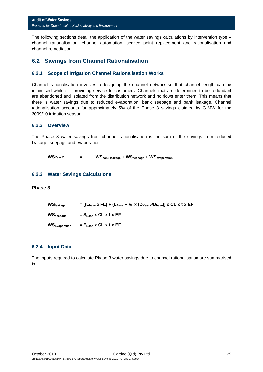The following sections detail the application of the water savings calculations by intervention type  $$ channel rationalisation, channel automation, service point replacement and rationalisation and channel remediation.

# **6.2 Savings from Channel Rationalisation**

#### **6.2.1 Scope of Irrigation Channel Rationalisation Works**

Channel rationalisation involves redesigning the channel network so that channel length can be minimised while still providing service to customers. Channels that are determined to be redundant are abandoned and isolated from the distribution network and no flows enter them. This means that there is water savings due to reduced evaporation, bank seepage and bank leakage. Channel rationalisation accounts for approximately 5% of the Phase 3 savings claimed by G-MW for the 2009/10 irrigation season.

#### **6.2.2 Overview**

The Phase 3 water savings from channel rationalisation is the sum of the savings from reduced leakage, seepage and evaporation:

```
WS<sub>Year</sub> X = WS<sub>bank leakage</sub> + WS<sub>seepage</sub> + WS<sub>evaporation</sub>
```
#### **6.2.3 Water Savings Calculations**

#### **Phase 3**

| $WS_{\text{leakage}}$            | $=$ [(L <sub>base</sub> x FL) + (L <sub>Base</sub> + V <sub>L</sub> x (D <sub>Year X</sub> /D <sub>base</sub> )] x CL x t x EF |
|----------------------------------|--------------------------------------------------------------------------------------------------------------------------------|
| $\mathsf{WS}_\mathsf{seepage}$   | $= S_{Base}$ x CL x t x EF                                                                                                     |
| <b>WS</b> <sub>Evaporation</sub> | $= E_{Base}$ x CL x t x EF                                                                                                     |

#### **6.2.4 Input Data**

The inputs required to calculate Phase 3 water savings due to channel rationalisation are summarised in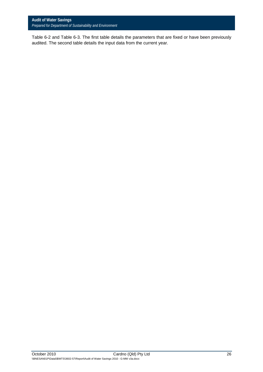Table 6-2 and Table 6-3. The first table details the parameters that are fixed or have been previously audited. The second table details the input data from the current year.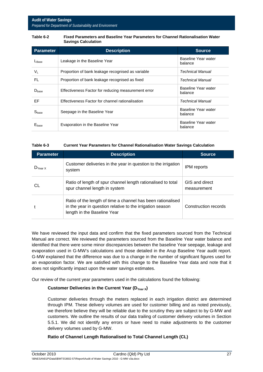#### **Table 6-2 Fixed Parameters and Baseline Year Parameters for Channel Rationalisation Water Savings Calculation**

| <b>Parameter</b>  | <b>Description</b>                                  | <b>Source</b>                  |
|-------------------|-----------------------------------------------------|--------------------------------|
| LBase             | Leakage in the Baseline Year                        | Baseline Year water<br>balance |
| Vı.               | Proportion of bank leakage recognised as variable   | Technical Manual               |
| FL.               | Proportion of bank leakage recognised as fixed      | Technical Manual               |
| D <sub>base</sub> | Effectiveness Factor for reducing measurement error | Baseline Year water<br>balance |
| EF                | Effectiveness Factor for channel rationalisation    | Technical Manual               |
| S <sub>base</sub> | Seepage in the Baseline Year                        | Baseline Year water<br>balance |
| $E_{\text{base}}$ | Evaporation in the Baseline Year                    | Baseline Year water<br>balance |

#### **Table 6-3 Current Year Parameters for Channel Rationalisation Water Savings Calculation**

| <b>Parameter</b>    | <b>Description</b>                                                                                                                                      | Source.                       |
|---------------------|---------------------------------------------------------------------------------------------------------------------------------------------------------|-------------------------------|
| $D_{\text{Year X}}$ | Customer deliveries in the year in question to the irrigation<br>system                                                                                 | IPM reports                   |
| CL                  | Ratio of length of spur channel length rationalised to total<br>spur channel length in system                                                           | GIS and direct<br>measurement |
|                     | Ratio of the length of time a channel has been rationalised<br>in the year in question relative to the irrigation season<br>length in the Baseline Year | Construction records          |

We have reviewed the input data and confirm that the fixed parameters sourced from the Technical Manual are correct. We reviewed the parameters sourced from the Baseline Year water balance and identified that there were some minor discrepancies between the baseline Year seepage, leakage and evaporation used in G-MW's calculations and those detailed in the Arup Baseline Year audit report. G-MW explained that the difference was due to a change in the number of significant figures used for an evaporation factor. We are satisfied with this change to the Baseline Year data and note that it does not significantly impact upon the water savings estimates.

Our review of the current year parameters used in the calculations found the following:

#### Customer Deliveries in the Current Year (D<sub>Year X</sub>)

Customer deliveries through the meters replaced in each irrigation district are determined through IPM. These delivery volumes are used for customer billing and as noted previously, we therefore believe they will be reliable due to the scrutiny they are subject to by G-MW and customers. We outline the results of our data trailing of customer delivery volumes in Section 5.5.1. We did not identify any errors or have need to make adjustments to the customer delivery volumes used by G-MW.

#### **Ratio of Channel Length Rationalised to Total Channel Length (CL)**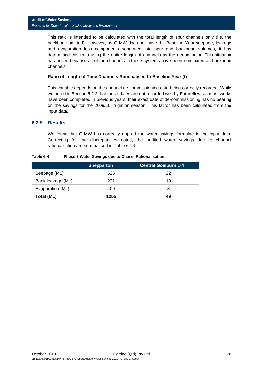This ratio is intended to be calculated with the total length of spur channels only (i.e. the backbone omitted). However, as G-MW does not have the Baseline Year seepage, leakage and evaporation loss components separated into spur and backbone volumes, it has determined this ratio using the entire length of channels as the denominator. This situation has arisen because all of the channels in these systems have been nominated as backbone channels.

#### **Ratio of Length of Time Channels Rationalised to Baseline Year (t)**

This variable depends on the channel de-commissioning date being correctly recorded. While we noted in Section 5.2.2 that these dates are not recorded well by Futureflow, as most works have been completed in previous years, their exact date of de-commissioning has no bearing on the savings for the 2009/10 irrigation season. This factor has been calculated from the input data.

#### **6.2.5 Results**

We found that G-MW has correctly applied the water savings formulae to the input data. Correcting for the discrepancies noted, the audited water savings due to channel rationalisation are summarised in Table 6-16.

|                   | <b>Shepparton</b> | <b>Central Goulburn 1-4</b> |
|-------------------|-------------------|-----------------------------|
| Seepage (ML)      | 625               | 22                          |
| Bank leakage (ML) | 221               | 19                          |
| Evaporation (ML)  | 409               |                             |
| Total (ML)        | 1255              | 49                          |

#### **Table 6-4 Phase 3 Water Savings due to Chanel Rationalisation**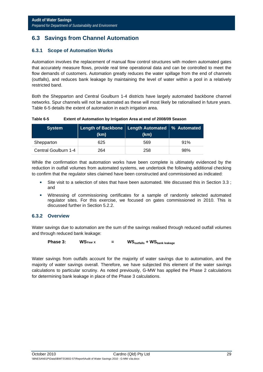# **6.3 Savings from Channel Automation**

#### **6.3.1 Scope of Automation Works**

Automation involves the replacement of manual flow control structures with modern automated gates that accurately measure flows, provide real time operational data and can be controlled to meet the flow demands of customers. Automation greatly reduces the water spillage from the end of channels (outfalls), and reduces bank leakage by maintaining the level of water within a pool in a relatively restricted band.

Both the Shepparton and Central Goulburn 1-4 districts have largely automated backbone channel networks. Spur channels will not be automated as these will most likely be rationalised in future years. Table 6-5 details the extent of automation in each irrigation area.

**Table 6-5 Extent of Automation by Irrigation Area at end of 2008/09 Season** 

| <b>System</b>        | Length of Backbone   Length Automated   % Automated<br>(km) | (km) |     |
|----------------------|-------------------------------------------------------------|------|-----|
| Shepparton           | 625                                                         | 569  | 91% |
| Central Goulburn 1-4 | 264                                                         | 258  | 98% |

While the confirmation that automation works have been complete is ultimately evidenced by the reduction in outfall volumes from automated systems, we undertook the following additional checking to confirm that the regulator sites claimed have been constructed and commissioned as indicated:

- Site visit to a selection of sites that have been automated. We discussed this in Section 3.3 ; and
- Witnessing of commissioning certificates for a sample of randomly selected automated regulator sites. For this exercise, we focused on gates commissioned in 2010. This is discussed further in Section 5.2.2.

#### **6.3.2 Overview**

Water savings due to automation are the sum of the savings realised through reduced outfall volumes and through reduced bank leakage:

**Phase 3:** WSYear X = WS<sub>outfalls</sub> + WS<sub>bank leakage</sub>

Water savings from outfalls account for the majority of water savings due to automation, and the majority of water savings overall. Therefore, we have subjected this element of the water savings calculations to particular scrutiny. As noted previously, G-MW has applied the Phase 2 calculations for determining bank leakage in place of the Phase 3 calculations.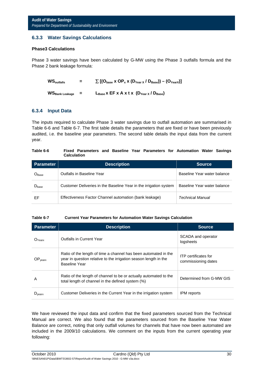#### **6.3.3 Water Savings Calculations**

#### **Phase3 Calculations**

Phase 3 water savings have been calculated by G-MW using the Phase 3 outfalls formula and the Phase 2 bank leakage formula:

| $WS_{\text{outfalls}}$ | н., | $\sum$ [(O <sub>base</sub> x OP <sub>x</sub> x (D <sub>Year x</sub> / D <sub>Base</sub> )) – (O <sub>YearX</sub> )] |
|------------------------|-----|---------------------------------------------------------------------------------------------------------------------|
| <b>WS</b> Bank Leakage | н., | $L_{Base}$ x EF x A x t x $(D_{Year}$ / $D_{Base})$                                                                 |

#### **6.3.4 Input Data**

The inputs required to calculate Phase 3 water savings due to outfall automation are summarised in Table 6-6 and Table 6-7. The first table details the parameters that are fixed or have been previously audited, i.e. the baseline year parameters. The second table details the input data from the current year.

#### **Table 6-6 Fixed Parameters and Baseline Year Parameters for Automation Water Savings Calculation**

| Parameter           | <b>Description</b>                                                | <b>Source</b>               |
|---------------------|-------------------------------------------------------------------|-----------------------------|
| $O_{\mathsf{Base}}$ | Outfalls in Baseline Year                                         | Baseline Year water balance |
| $D_{base}$          | Customer Deliveries in the Baseline Year in the irrigation system | Baseline Year water balance |
| EF                  | Effectiveness Factor Channel automation (bank leakage)            | Technical Manual            |

#### **Table 6-7 Current Year Parameters for Automation Water Savings Calculation**

| <b>Parameter</b>    | <b>Description</b>                                                                                                                                          | <b>Source</b>                                      |
|---------------------|-------------------------------------------------------------------------------------------------------------------------------------------------------------|----------------------------------------------------|
| $O_{\mathsf{Year}}$ | <b>Outfalls in Current Year</b>                                                                                                                             | SCADA and operator<br>logsheets                    |
| OP <sub>years</sub> | Ratio of the length of time a channel has been automated in the<br>year in question relative to the irrigation season length in the<br><b>Baseline Year</b> | <b>ITP</b> certificates for<br>commissioning dates |
| A                   | Ratio of the length of channel to be or actually automated to the<br>total length of channel in the defined system (%)                                      | Determined from G-MW GIS                           |
| $D_{\text{year}}$   | Customer Deliveries in the Current Year in the irrigation system                                                                                            | <b>IPM</b> reports                                 |

We have reviewed the input data and confirm that the fixed parameters sourced from the Technical Manual are correct. We also found that the parameters sourced from the Baseline Year Water Balance are correct, noting that only outfall volumes for channels that have now been automated are included in the 2009/10 calculations. We comment on the inputs from the current operating year following: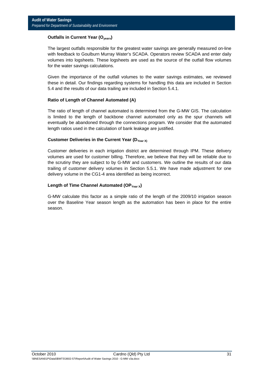#### **Outfalls in Current Year (O<sub>yearx</sub>)**

The largest outfalls responsible for the greatest water savings are generally measured on-line with feedback to Goulburn Murray Water's SCADA. Operators review SCADA and enter daily volumes into logsheets. These logsheets are used as the source of the outfall flow volumes for the water savings calculations.

Given the importance of the outfall volumes to the water savings estimates, we reviewed these in detail. Our findings regarding systems for handling this data are included in Section 5.4 and the results of our data trailing are included in Section 5.4.1.

#### **Ratio of Length of Channel Automated (A)**

The ratio of length of channel automated is determined from the G-MW GIS. The calculation is limited to the length of backbone channel automated only as the spur channels will eventually be abandoned through the connections program. We consider that the automated length ratios used in the calculation of bank leakage are justified.

#### Customer Deliveries in the Current Year (D<sub>Year X)</sub>

Customer deliveries in each irrigation district are determined through IPM. These delivery volumes are used for customer billing. Therefore, we believe that they will be reliable due to the scrutiny they are subject to by G-MW and customers. We outline the results of our data trailing of customer delivery volumes in Section 5.5.1. We have made adjustment for one delivery volume in the CG1-4 area identified as being incorrect.

#### Length of Time Channel Automated (OP<sub>Year X</sub>)

G-MW calculate this factor as a simple ratio of the length of the 2009/10 irrigation season over the Baseline Year season length as the automation has been in place for the entire season.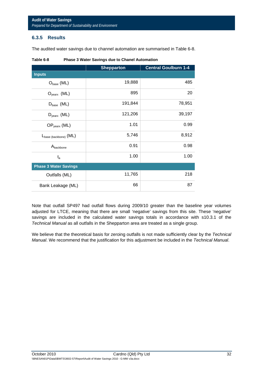#### **6.3.5 Results**

The audited water savings due to channel automation are summarised in Table 6-8.

|                                   | <b>Shepparton</b> | <b>Central Goulburn 1-4</b> |
|-----------------------------------|-------------------|-----------------------------|
| <b>Inputs</b>                     |                   |                             |
| $O_{base} (ML)$                   | 19,888            | 485                         |
| $O_{\text{year}}$ (ML)            | 895               | 20                          |
| $D_{base}$ (ML)                   | 191,844           | 78,951                      |
| $D_{\text{year}}$ (ML)            | 121,206           | 39,197                      |
| $OP_{\text{year}} (ML)$           | 1.01              | 0.99                        |
| L <sub>base (backbone)</sub> (ML) | 5,746             | 8,912                       |
| Abackbone                         | 0.91              | 0.98                        |
| $t_{a}$                           | 1.00              | 1.00                        |
| <b>Phase 3 Water Savings</b>      |                   |                             |
| Outfalls (ML)                     | 11,765            | 218                         |
| Bank Leakage (ML)                 | 66                | 87                          |

|  | Table 6-8 | <b>Phase 3 Water Savings due to Chanel Automation</b> |
|--|-----------|-------------------------------------------------------|
|--|-----------|-------------------------------------------------------|

Note that outfall SP497 had outfall flows during 2009/10 greater than the baseline year volumes adjusted for LTCE, meaning that there are small 'negative' savings from this site. These 'negative' savings are included in the calculated water savings totals in accordance with s10.3.1 of the *Technical Manual* as all outfalls in the Shepparton area are treated as a single group.

We believe that the theoretical basis for zeroing outfalls is not made sufficiently clear by the *Technical Manual*. We recommend that the justification for this adjustment be included in the *Technical Manual*.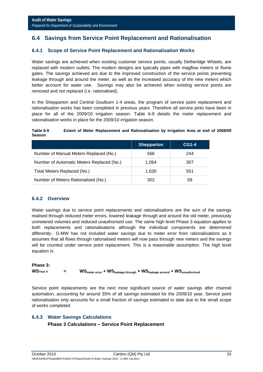# **6.4 Savings from Service Point Replacement and Rationalisation**

#### **6.4.1 Scope of Service Point Replacement and Rationalisation Works**

Water savings are achieved when existing customer service points, usually Detheridge Wheels, are replaced with modern outlets. The modern designs are typically pipes with magflow meters or flume gates. The savings achieved are due to the improved construction of the service points preventing leakage through and around the meter, as well as the increased accuracy of the new meters which better account for water use. Savings may also be achieved when existing service points are removed and not replaced (i.e. rationalised).

In the Shepparton and Central Goulburn 1-4 areas, the program of service point replacement and rationalisation works has been completed in previous years. Therefore all service pints have been in place for all of the 2009/10 irrigation season. Table 6-9 details the meter replacement and rationalisation works in place for the 2009/10 irrigation season.

**Table 6-9 Extent of Meter Replacement and Rationalisation by Irrigation Area at end of 2008/09 Season** 

|                                           | <b>Shepparton</b> | <b>CG1-4</b> |
|-------------------------------------------|-------------------|--------------|
| Number of Manual Meters Replaced (No.)    | 566               | 244          |
| Number of Automatic Meters Replaced (No.) | 1,064             | 307          |
| Total Meters Replaced (No.)               | 1,630             | 551          |
| Number of Meters Rationalised (No.)       | 302               | 59           |

#### **6.4.2 Overview**

Water savings due to service point replacements and rationalisations are the sum of the savings realised through reduced meter errors, lowered leakage through and around the old meter, previously unmetered volumes and reduced unauthorised use. The same high level Phase 3 equation applies to both replacements and rationalisations although the individual components are determined differently.. G-MW has not included water savings due to meter error from rationalisations as it assumes that all flows through rationalised meters will now pass through new meters and the savings will be counted under service point replacement. This is a reasonable assumption. The high level equation is:

### **Phase 3:**  WS<sub>Year X</sub> = WS<sub>meter error + WS<sub>leakage through + WS<sub>leakage around</sub> + WS<sub>unauthorised</sub></sub></sub>

Service point replacements are the next most significant source of water savings after channel automation, accounting for around 35% of all savings estimated for the 2009/10 year. Service point rationalisation only accounts for a small fraction of savings estimated to date due to the small scope of works completed.

# **6.4.3 Water Savings Calculations Phase 3 Calculations – Service Point Replacement**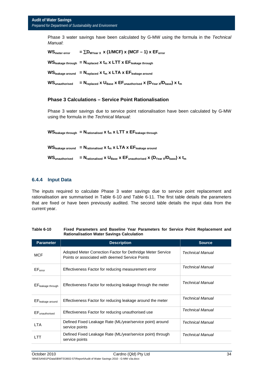Phase 3 water savings have been calculated by G-MW using the formula in the *Technical Manual*:

| <b>WS</b> meter error             | $=$ $\Sigma$ D <sub>MYear</sub> x (1/MCF) x (MCF – 1) x EF <sub>error</sub>                                                                            |
|-----------------------------------|--------------------------------------------------------------------------------------------------------------------------------------------------------|
|                                   | $WS_{\text{leakage through}} = N_{\text{replaced}} x t_m x LTT x EF_{\text{leakage through}}$                                                          |
|                                   | $WS_{\text{leakage around}} = N_{\text{replaced}} x t_m x LTA x EF_{\text{leakage around}}$                                                            |
| <b>WS</b> <sub>unauthorised</sub> | $= N_{\text{replaced}} \times U_{\text{Base}} \times EF_{\text{unauthorised}} \times (D_{\text{Year}} \times / D_{\text{base}}) \times t_{\text{max}}$ |

#### **Phase 3 Calculations – Service Point Rationalisation**

Phase 3 water savings due to service point rationalisation have been calculated by G-MW using the formula in the *Technical Manual*:

 $WS_{\text{leakage through}} = N_{\text{rationalised}} \times t_{\text{m}} \times LTT \times EF_{\text{leakage through}}$  $WS_{\text{leakace around}} = N_{\text{rationalised}} \times t_{\text{m}} \times LTA \times EF_{\text{leakade around}}$ 

 $WS_{\text{unauthorizontal}} = N_{\text{rationalised}} \times U_{\text{Base}} \times EF_{\text{unauthorizontal}} \times (D_{\text{Year}} \times / D_{\text{base}}) \times t_{\text{max}}$ 

#### **6.4.4 Input Data**

The inputs required to calculate Phase 3 water savings due to service point replacement and rationalisation are summarised in Table 6-10 and Table 6-11. The first table details the parameters that are fixed or have been previously audited. The second table details the input data from the current year.

| <b>Parameter</b>                  | <b>Description</b>                                                                                             | <b>Source</b>           |
|-----------------------------------|----------------------------------------------------------------------------------------------------------------|-------------------------|
| <b>MCF</b>                        | Adopted Meter Correction Factor for Dethridge Meter Service<br>Points or associated with deemed Service Points | Technical Manual        |
| EF <sub>error</sub>               | Effectiveness Factor for reducing measurement error                                                            | <b>Technical Manual</b> |
| EF <sub>leakage through</sub>     | Effectiveness Factor for reducing leakage through the meter                                                    | <b>Technical Manual</b> |
| EF <sub>leakage</sub> around      | Effectiveness Factor for reducing leakage around the meter                                                     | Technical Manual        |
| <b>EF</b> <sub>unauthorised</sub> | Effectiveness Factor for reducing unauthorised use                                                             | <b>Technical Manual</b> |
| <b>LTA</b>                        | Defined Fixed Leakage Rate (ML/year/service point) around<br>service points                                    | <b>Technical Manual</b> |
| LTT                               | Defined Fixed Leakage Rate (ML/year/service point) through<br>service points                                   | Technical Manual        |

| Table 6-10 | Fixed Parameters and Baseline Year Parameters for Service Point Replacement and |
|------------|---------------------------------------------------------------------------------|
|            | <b>Rationalisation Water Savings Calculation</b>                                |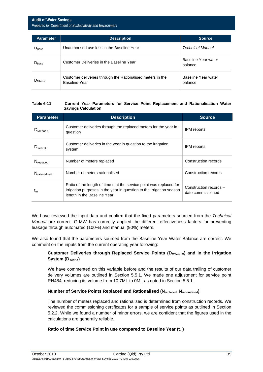| <b>Parameter</b>           | <b>Description</b>                                                          | Source,                        |
|----------------------------|-----------------------------------------------------------------------------|--------------------------------|
| $\mathsf{U}_\mathsf{Base}$ | Unauthorised use loss in the Baseline Year                                  | Technical Manual               |
| $D_{Base}$                 | Customer Deliveries in the Baseline Year                                    | Baseline Year water<br>balance |
| $D_{Mbase}$                | Customer deliveries through the Rationalised meters in the<br>Baseline Year | Baseline Year water<br>balance |

#### **Table 6-11 Current Year Parameters for Service Point Replacement and Rationalisation Water Savings Calculation**

| <b>Parameter</b>                 | <b>Description</b>                                                                                                                                                         | <b>Source</b>                               |
|----------------------------------|----------------------------------------------------------------------------------------------------------------------------------------------------------------------------|---------------------------------------------|
| $D_{MYear}$                      | Customer deliveries through the replaced meters for the year in<br>question                                                                                                | <b>IPM</b> reports                          |
| $D_{\text{Year X}}$              | Customer deliveries in the year in question to the irrigation<br>system                                                                                                    | <b>IPM</b> reports                          |
| N <sub>replaced</sub>            | Number of meters replaced                                                                                                                                                  | Construction records                        |
| <b>N</b> <sub>rationalised</sub> | Number of meters rationalised                                                                                                                                              | Construction records                        |
| $\mathfrak{r}_{\mathsf{m}}$      | Ratio of the length of time that the service point was replaced for<br>irrigation purposes in the year in question to the irrigation season<br>length in the Baseline Year | Construction records -<br>date commissioned |

We have reviewed the input data and confirm that the fixed parameters sourced from the *Technical Manual* are correct. G-MW has correctly applied the different effectiveness factors for preventing leakage through automated (100%) and manual (90%) meters.

We also found that the parameters sourced from the Baseline Year Water Balance are correct. We comment on the inputs from the current operating year following:

#### Customer Deliveries through Replaced Service Points (D<sub>MYear X</sub>) and in the Irrigation System (D<sub>Year X</sub>)

We have commented on this variable before and the results of our data trailing of customer delivery volumes are outlined in Section 5.5.1. We made one adjustment for service point RN484, reducing its volume from 10.7ML to 0ML as noted in Section 5.5.1.

#### **Number of Service Points Replaced and Rationalised (N<sub>replaced</sub>, N<sub>rationalised</sub>)**

The number of meters replaced and rationalised is determined from construction records. We reviewed the commissioning certificates for a sample of service points as outlined in Section 5.2.2. While we found a number of minor errors, we are confident that the figures used in the calculations are generally reliable.

#### **Ratio of time Service Point in use compared to Baseline Year (t<sub>m</sub>)**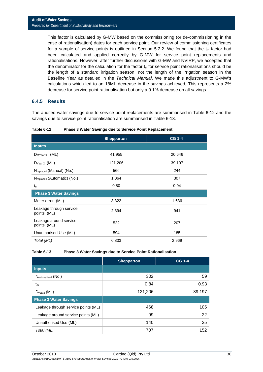This factor is calculated by G-MW based on the commissioning (or de-commissioning in the case of rationalisation) dates for each service point. Our review of commissioning certificates for a sample of service points is outlined in Section 5.2.2. We found that the  $t_m$  factor had been calculated and applied correctly by G-MW for service point replacements and rationalisations. However, after further discussions with G-MW and NVIRP, we accepted that the denominator for the calculation for the factor  $t_m$  for service point rationalisations should be the length of a standard irrigation season, not the length of the irrigation season in the Baseline Year as detailed in the *Technical Manual*. We made this adjustment to G-MW's calculations which led to an 18ML decrease in the savings achieved, This represents a 2% decrease for service point rationalisation but only a 0.1% decrease on all savings.

#### **6.4.5 Results**

The audited water savings due to service point replacements are summarised in Table 6-12 and the savings due to service point rationalisation are summarised in Table 6-13.

|                                        | <b>Shepparton</b> | <b>CG 1-4</b> |
|----------------------------------------|-------------------|---------------|
| <b>Inputs</b>                          |                   |               |
| $D_{MYear} \times (ML)$                | 41,955            | 20,646        |
| $D_{Year \times} (ML)$                 | 121,206           | 39,197        |
| N <sub>replaced</sub> (Manual) (No.)   | 566               | 244           |
| $N_{replaced}$ (Automatic) (No.)       | 1,064             | 307           |
| $t_{m}$                                | 0.80              | 0.94          |
| <b>Phase 3 Water Savings</b>           |                   |               |
| Meter error (ML)                       | 3,322             | 1,636         |
| Leakage through service<br>points (ML) | 2,394             | 941           |
| Leakage around service<br>points (ML)  | 522               | 207           |
| Unauthorised Use (ML)                  | 594               | 185           |
| Total (ML)                             | 6,833             | 2,969         |

**Table 6-12 Phase 3 Water Savings due to Service Point Replacement** 

#### **Table 6-13 Phase 3 Water Savings due to Service Point Rationalisation**

|                                     | <b>Shepparton</b> | <b>CG 1-4</b> |
|-------------------------------------|-------------------|---------------|
| <b>Inputs</b>                       |                   |               |
| Nrationalised (NO.)                 | 302               | 59            |
| $t_{m}$                             | 0.84              | 0.93          |
| $D_{\text{year}} (ML)$              | 121,206           | 39,197        |
| <b>Phase 3 Water Savings</b>        |                   |               |
| Leakage through service points (ML) | 468               | 105           |
| Leakage around service points (ML)  | 99                | 22            |
| Unauthorised Use (ML)               | 140               | 25            |
| Total (ML)                          | 707               | 152           |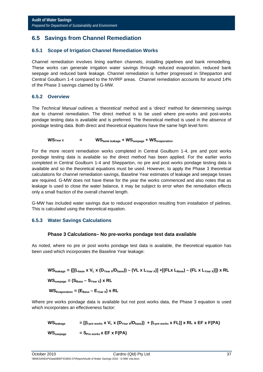# **6.5 Savings from Channel Remediation**

#### **6.5.1 Scope of Irrigation Channel Remediation Works**

Channel remediation involves lining earthen channels, installing pipelines and bank remodelling. These works can generate irrigation water savings through reduced evaporation, reduced bank seepage and reduced bank leakage. Channel remediation is further progressed in Shepparton and Central Goulburn 1-4 compared to the NVIRP areas. Channel remediation accounts for around 14% of the Phase 3 savings claimed by G-MW.

#### **6.5.2 Overview**

The *Technical Manual* outlines a 'theoretical' method and a 'direct' method for determining savings due to channel remediation. The direct method is to be used where pre-works and post-works pondage testing data is available and is preferred. The theoretical method is used in the absence of pondage testing data. Both direct and theoretical equations have the same high level form:

#### WS<sub>Year X</sub> = WS<sub>bank leakage</sub> + WS<sub>seepage</sub> + WS<sub>evaporation</sub>

For the more recent remediation works completed in Central Goulburn 1-4, pre and post works pondage testing data is available so the direct method has been applied. For the earlier works completed in Central Goulburn 1-4 and Shepparton, no pre and post works pondage testing data is available and so the theoretical equations must be used. However, to apply the Phase 3 theoretical calculations for channel remediation savings, Baseline Year estimates of leakage and seepage losses are required. G-MW does not have these for the year the works commenced and also notes that as leakage is used to close the water balance, it may be subject to error when the remediation effects only a small fraction of the overall channel length.

G-MW has included water savings due to reduced evaporation resulting from installation of pielines. This is calculated using the theoretical equation.

#### **6.5.3 Water Savings Calculations**

#### **Phase 3 Calculations– No pre-works pondage test data available**

As noted, where no pre or post works pondage test data is available, the theoretical equation has been used which incorporates the Baseline Year leakage:

 $WS_{\text{leakance}} = \{[(L_{\text{base}} \times V_L \times (D_{\text{Year}} \times / D_{\text{base}})) - (VL \times L_{\text{Year}} \times)] + [(FL \times L_{\text{Base}}) - (FL \times L_{\text{Year}} \times)]\} \times RL$ 

 $WS_{\text{segnage}} = (S_{\text{Base}} - S_{\text{Year}}) \times RL$ 

 $WS_{\text{Evaporation}} = (E_{\text{Base}} - E_{\text{Year X}}) \times RL$ 

Where pre works pondage data is available but not post works data, the Phase 3 equation is used which incorporates an effectiveness factor:

 $WS_{\text{leakage}} = [(L_{\text{pre works}} \times V_L \times (D_{\text{Year}} \times / D_{\text{base}})) + (L_{\text{pre works}} \times FL)] \times RL \times EF \times F(PA)$  $WS_{\text{seepage}}$  =  $S_{\text{Pre works}}$  **x** EF **x**  $F(PA)$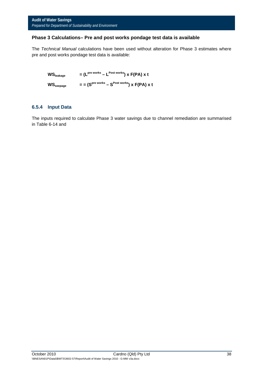#### **Phase 3 Calculations– Pre and post works pondage test data is available**

The *Technical Manual* calculations have been used without alteration for Phase 3 estimates where pre and post works pondage test data is available:

 $WS_{\text{leak} \text{age}} = (L^{\text{pre works}} - L^{\text{Post works}}) \times F(PA) \times t$  $WS_{\text{seepace}} = (S^{\text{pre works}} - S^{\text{Post works}})$  x  $F(PA)$  x t

#### **6.5.4 Input Data**

The inputs required to calculate Phase 3 water savings due to channel remediation are summarised in Table 6-14 and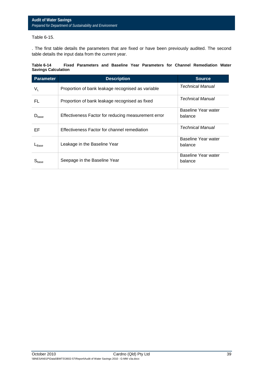#### Table 6-15.

. The first table details the parameters that are fixed or have been previously audited. The second table details the input data from the current year.

| Table 6-14                 |  |  |  |  | Fixed Parameters and Baseline Year Parameters for Channel Remediation Water |  |
|----------------------------|--|--|--|--|-----------------------------------------------------------------------------|--|
| <b>Savings Calculation</b> |  |  |  |  |                                                                             |  |

| <b>Parameter</b>  | <b>Description</b>                                  | <b>Source</b>                  |
|-------------------|-----------------------------------------------------|--------------------------------|
| V <sub>L</sub>    | Proportion of bank leakage recognised as variable   | Technical Manual               |
| FL                | Proportion of bank leakage recognised as fixed      | Technical Manual               |
| $D_{\text{base}}$ | Effectiveness Factor for reducing measurement error | Baseline Year water<br>balance |
| EF                | Effectiveness Factor for channel remediation        | Technical Manual               |
| $L_{\text{Base}}$ | Leakage in the Baseline Year                        | Baseline Year water<br>balance |
|                   | Seepage in the Baseline Year                        | Baseline Year water<br>balance |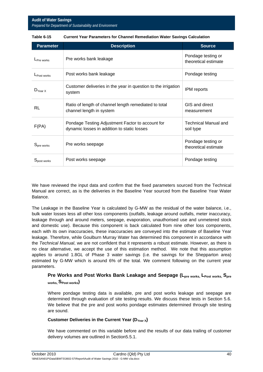#### **Audit of Water Savings**  *Prepared for Department of Sustainability and Environment*

| <b>Parameter</b>       | <b>Description</b>                                                                              | <b>Source</b>                              |
|------------------------|-------------------------------------------------------------------------------------------------|--------------------------------------------|
| $L_{Pre \, works}$     | Pre works bank leakage                                                                          | Pondage testing or<br>theoretical estimate |
| $L$ Post works         | Post works bank leakage                                                                         | Pondage testing                            |
| $D_{Year X}$           | Customer deliveries in the year in question to the irrigation<br>system                         | IPM reports                                |
| RL                     | Ratio of length of channel length remediated to total<br>channel length in system               | GIS and direct<br>measurement              |
| F(PA)                  | Pondage Testing Adjustment Factor to account for<br>dynamic losses in addition to static losses | Technical Manual and<br>soil type          |
| S <sub>pre works</sub> | Pre works seepage                                                                               | Pondage testing or<br>theoretical estimate |
| Spost works            | Post works seepage                                                                              | Pondage testing                            |

| Table 6-15 | <b>Current Year Parameters for Channel Remediation Water Savings Calculation</b> |
|------------|----------------------------------------------------------------------------------|
|            |                                                                                  |

We have reviewed the input data and confirm that the fixed parameters sourced from the Technical Manual are correct, as is the deliveries in the Baseline Year sourced from the Baseline Year Water Balance.

The Leakage in the Baseline Year is calculated by G-MW as the residual of the water balance, i.e., bulk water losses less all other loss components (outfalls, leakage around outfalls, meter inaccuracy, leakage through and around meters, seepage, evaporation, unauthorised use and unmetered stock and domestic use). Because this component is back calculated from nine other loss components, each with its own inaccuracies, these inaccuracies are conveyed into the estimate of Baseline Year leakage. Therefore, while Goulburn Murray Water has determined this component in accordance with the *Technical Manual*, we are not confident that it represents a robust estimate. However, as there is no clear alternative, we accept the use of this estimation method. We note that this assumption applies to around 1.8GL of Phase 3 water savings (i.e. the savings for the Shepparton area) estimated by G-MW which is around 6% of the total. We comment following on the current year parameters.

### Pre Works and Post Works Bank Leakage and Seepage (L<sub>pre works, L<sub>Post works,</sub> S<sub>pre</sub></sub> **works, SPost works)**

Where pondage testing data is available, pre and post works leakage and seepage are determined through evaluation of site testing results. We discuss these tests in Section 5.6. We believe that the pre and post works pondage estimates determined through site testing are sound.

#### Customer Deliveries in the Current Year (D<sub>Year X</sub>)

We have commented on this variable before and the results of our data trailing of customer delivery volumes are outlined in Section5.5.1.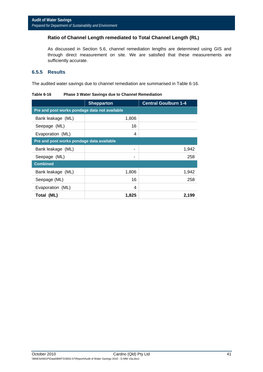#### **Ratio of Channel Length remediated to Total Channel Length (RL)**

As discussed in Section 5.6, channel remediation lengths are determined using GIS and through direct measurement on site. We are satisfied that these measurements are sufficiently accurate.

#### **6.5.5 Results**

The audited water savings due to channel remediation are summarised in Table 6-16.

|                                               | <b>Shepparton</b> | <b>Central Goulburn 1-4</b> |  |  |  |
|-----------------------------------------------|-------------------|-----------------------------|--|--|--|
| Pre and post works pondage data not available |                   |                             |  |  |  |
| Bank leakage (ML)                             | 1,806             |                             |  |  |  |
| Seepage (ML)                                  | 16                |                             |  |  |  |
| Evaporation (ML)                              | 4                 |                             |  |  |  |
| Pre and post works pondage data available     |                   |                             |  |  |  |
| Bank leakage (ML)                             | ۰                 | 1,942                       |  |  |  |
| Seepage (ML)                                  | ۰                 | 258                         |  |  |  |
| <b>Combined</b>                               |                   |                             |  |  |  |
| Bank leakage (ML)                             | 1,806             | 1,942                       |  |  |  |
| Seepage (ML)                                  | 16                | 258                         |  |  |  |
| Evaporation (ML)                              | 4                 |                             |  |  |  |
| Total (ML)                                    | 1,825             | 2,199                       |  |  |  |

**Table 6-16 Phase 3 Water Savings due to Channel Remediation**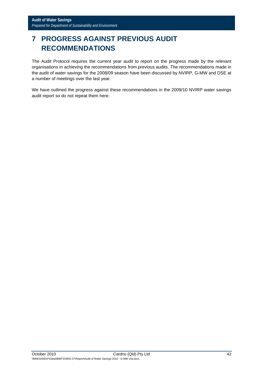# **7 PROGRESS AGAINST PREVIOUS AUDIT RECOMMENDATIONS**

The Audit Protocol requires the current year audit to report on the progress made by the relevant organisations in achieving the recommendations from previous audits. The recommendations made in the audit of water savings for the 2008/09 season have been discussed by NVIRP, G-MW and DSE at a number of meetings over the last year.

We have outlined the progress against these recommendations in the 2009/10 NVIRP water savings audit report so do not repeat them here.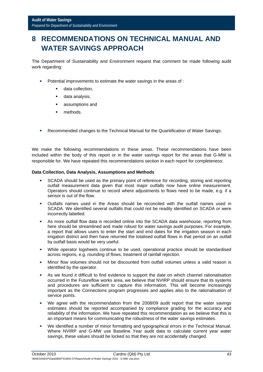# **8 RECOMMENDATIONS ON TECHNICAL MANUAL AND WATER SAVINGS APPROACH**

The Department of Sustainability and Environment request that comment be made following audit work regarding:

- **Potential improvements to estimate the water savings in the areas of :** 
	- data collection,
	- **data analysis.**
	- assumptions and
	- **nethods.**
- Recommended changes to the Technical Manual for the Quantification of Water Savings.

We make the following recommendations in these areas. These recommendations have been included within the body of this report or in the water savings report for the areas that G-MW is responsible for. We have repeated this recommendations section in each report for completeness:

#### **Data Collection, Data Analysis, Assumptions and Methods**

- SCADA should be used as the primary point of reference for recording, storing and reporting outfall measurement data given that most major outfalls now have online measurement. Operators should continue to record where adjustments to flows need to be made, e.g. if a sensor is out of the flow.
- Outfalls names used in the Areas should be reconciled with the outfall names used in SCADA. We identified several outfalls that could not be readily identified on SCADA or were incorrectly labelled.
- As more outfall flow data is recorded online into the SCADA data warehouse, reporting from here should be streamlined and made robust for water savings audit purposes. For example, a report that allows users to enter the start and end dates for the irrigation season in each irrigation district and then have returned the totalised outfall flows in that period on an outfall by outfall basis would be very useful.
- While operator logsheets continue to be used, operational practice should be standardised across regions, e.g. rounding of flows, treatment of rainfall rejection.
- Minor flow volumes should not be discounted from outfall volumes unless a valid reason is identified by the operator.
- As we found it difficult to find evidence to support the date on which channel rationalisation occurred in the Futureflow works area, we believe that NVIRP should ensure that its systems and procedures are sufficient to capture this information. This will become increasingly important as the Connections program progresses and applies also to the rationalisation of service points.
- We agree with the recommendation from the 2008/09 audit report that the water savings estimates should be reported accompanied by compliance grading for the accuracy and reliability of the information. We have repeated this recommendation as we believe that this is an important means for communicating the robustness of the water savings estimates.
- We identified a number of minor formatting and typographical errors in the Technical Manual. Where NVIRP and G-MW use Baseline Year audit data to calculate current year water savings, these values should be locked so that they are not accidentally changed.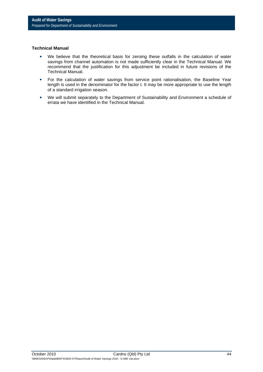#### **Technical Manual**

- We believe that the theoretical basis for zeroing these outfalls in the calculation of water savings from channel automation is not made sufficiently clear in the Technical Manual. We recommend that the justification for this adjustment be included in future revisions of the Technical Manual.
- **For the calculation of water savings from service point rationalisation, the Baseline Year** length is used in the denominator for the factor t. It may be more appropriate to use the length of a standard irrigation season.
- We will submit separately to the Department of Sustainability and Environment a schedule of errata we have identified in the Technical Manual.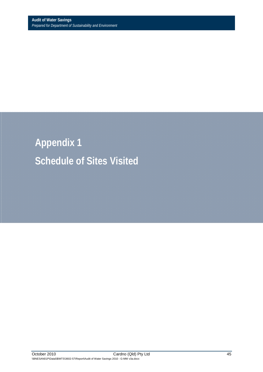**Appendix 1 Schedule of Sites Visited**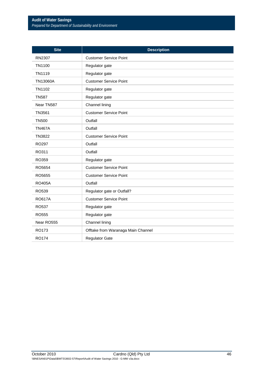| <b>Site</b>       | <b>Description</b>                 |
|-------------------|------------------------------------|
| RN2307            | <b>Customer Service Point</b>      |
| TN1100            | Regulator gate                     |
| TN1119            | Regulator gate                     |
| TN13060A          | <b>Customer Service Point</b>      |
| TN1102            | Regulator gate                     |
| <b>TN587</b>      | Regulator gate                     |
| Near TN587        | Channel lining                     |
| TN3561            | <b>Customer Service Point</b>      |
| <b>TN500</b>      | Outfall                            |
| <b>TN467A</b>     | Outfall                            |
| TN3822            | <b>Customer Service Point</b>      |
| RO <sub>297</sub> | Outfall                            |
| RO311             | Outfall                            |
| RO359             | Regulator gate                     |
| RO5654            | <b>Customer Service Point</b>      |
| RO5655            | <b>Customer Service Point</b>      |
| <b>RO405A</b>     | Outfall                            |
| RO539             | Regulator gate or Outfall?         |
| <b>RO617A</b>     | <b>Customer Service Point</b>      |
| RO537             | Regulator gate                     |
| <b>RO555</b>      | Regulator gate                     |
| Near RO555        | Channel lining                     |
| RO173             | Offtake from Waranaga Main Channel |
| <b>RO174</b>      | <b>Regulator Gate</b>              |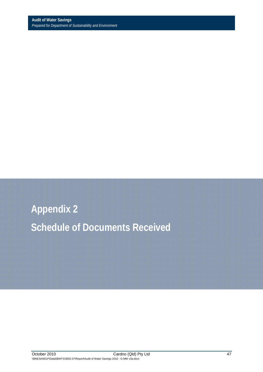**Appendix 2 Schedule of Documents Received**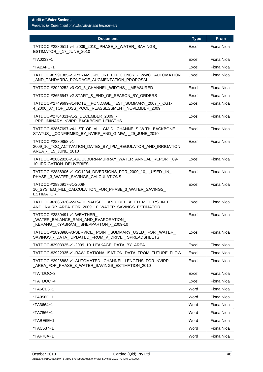| <b>Document</b>                                                                                                   | <b>Type</b> | <b>From</b> |
|-------------------------------------------------------------------------------------------------------------------|-------------|-------------|
| TATDOC-#2880511-v4- 2009_2010_ PHASE_3_WATER_ SAVINGS_<br>ESTIMATOR_-_17_JUNE_2010                                | Excel       | Fiona Nioa  |
| *TA0233~1                                                                                                         | Excel       | Fiona Nioa  |
| *TABAFE~1                                                                                                         | Excel       | Fiona Nioa  |
| TATDOC-#1991385-v1-PYRAMID-BOORT_EFFICIENCY_-_WWC_AUTOMATION<br>AND TANDARRA PONDAGE AUGMENTATION PROPOSAL        | Excel       | Fiona Nioa  |
| TATDOC-#2029252-v3-CG_3_CHANNEL_WIDTHS_-_MEASURED                                                                 | Excel       | Fiona Nioa  |
| TATDOC-#2656547-v2-START_&_END_OF_SEASON_BY_ORDERS                                                                | Excel       | Fiona Nioa  |
| TATDOC-#2749699-v1-NOTE_PONDAGE_TEST_SUMMARY_2007_-_CG1-<br>4_2006_07_TOP_LOSS_POOL_REASSESSMENT_NOVEMBER_2009    | Excel       | Fiona Nioa  |
| TATDOC-#2764311-v1-2_DECEMBER_2009_-<br>PRELIMINARY_NVIRP_BACKBONE_LENGTHS                                        | Excel       | Fiona Nioa  |
| TATDOC-#2867697-v4-LIST OF ALL GMID_CHANNELS WITH_BACKBONE<br>STATUS - CONFIRMED BY NVIRP AND G-MW - 29 JUNE 2010 | Excel       | Fiona Nioa  |
| TATDOC-#2880858-v1-<br>2009_10_TCC_ACTIVATION_DATES_BY_IPM_REGULATOR_AND_IRRIGATION<br>AREA_-_ 15_JUNE_2010       | Excel       | Fiona Nioa  |
| TATDOC-#2882820-v1-GOULBURN-MURRAY_WATER_ANNUAL_REPORT_09-<br>10_IRRIGATION_DELIVERIES                            | Excel       | Fiona Nioa  |
| TATDOC-#2886906-v1-CG1234_DIVERSIONS_FOR_2009_10_-_USED_IN_<br>PHASE_3_WATER_SAVINGS_CALCULATIONS                 | Excel       | Fiona Nioa  |
| TATDOC-#2886917-v1-2009-<br>10_SYSTEM_FILL_CALCULATION_FOR_PHASE_3_WATER_SAVINGS_<br><b>ESTIMATOR</b>             | Excel       | Fiona Nioa  |
| TATDOC-#2886920-v2-RATIONALISED_AND_REPLACED_METERS_IN_FF_<br>AND_NVIRP_AREA_FOR_2009_10_WATER_SAVINGS_ESTIMATOR  | Excel       | Fiona Nioa  |
| TATDOC-#2889491-v1-WEATHER_-<br>WATER BALANCE RAIN AND EVAPORATION -<br>_KERANG__KYABRAM__SHEPPARTON_-_2009-10    | Excel       | Fiona Nioa  |
| TATDOC-#2893980-v3-SERVICE_POINT_SUMMARY_USED_FOR_WATER_<br>SAVINGS - DATA UPDATED FROM V DRIVE SPREADSHEETS      | Excel       | Fiona Nioa  |
| TATDOC-#2903925-v1-2009_10_LEAKAGE_DATA_BY_AREA                                                                   | Excel       | Fiona Nioa  |
| TATDOC-#2922335-v1-RAW_RATIONALISATION_DATA_FROM_FUTURE_FLOW                                                      | Excel       | Fiona Nioa  |
| TATDOC-#2926883-v1-AUTOMATED CHANNEL LENGTHS FOR NVIRP<br>AREA FOR PHASE 3 WATER SAVINGS ESTIMATION 2010          | Excel       | Fiona Nioa  |
| *TATDOC~3                                                                                                         | Excel       | Fiona Nioa  |
| *TATDOC~4                                                                                                         | Excel       | Fiona Nioa  |
| *TA6CE6~1                                                                                                         | Word        | Fiona Nioa  |
| *TA956C~1                                                                                                         | Word        | Fiona Nioa  |
| *TA3664~1                                                                                                         | Word        | Fiona Nioa  |
| *TA7866~1                                                                                                         | Word        | Fiona Nioa  |
| *TABE6E~1                                                                                                         | Word        | Fiona Nioa  |
| *TAC537~1                                                                                                         | Word        | Fiona Nioa  |
| *TAF78A~1                                                                                                         | Word        | Fiona Nioa  |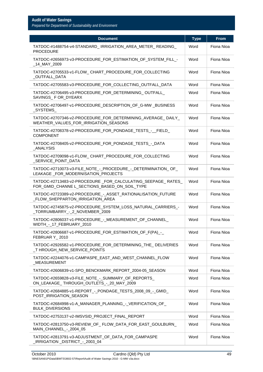| <b>Document</b>                                                                                              | <b>Type</b> | <b>From</b> |
|--------------------------------------------------------------------------------------------------------------|-------------|-------------|
| TATDOC-#1488754-v4-STANDARD_IRRIGATION_AREA_METER_READING_<br><b>PROCEDURE</b>                               | Word        | Fiona Nioa  |
| TATDOC-#2656973-v3-PROCEDURE_FOR_ESTIMATION_OF_SYSTEM_FILL_-<br>_14_MAY_2009                                 | Word        | Fiona Nioa  |
| TATDOC-#2705533-v1-FLOW_CHART_PROCEDURE_FOR_COLLECTING<br>_OUTFALL_DATA                                      | Word        | Fiona Nioa  |
| TATDOC-#2705583-v3-PROCEDURE_FOR_COLLECTING_OUTFALL_DATA                                                     | Word        | Fiona Nioa  |
| TATDOC-#2706495-v3-PROCEDURE FOR DETERMINING OUTFALL<br>SAVINGS_F OR_DYEARX                                  | Word        | Fiona Nioa  |
| TATDOC-#2706497-v1-PROCEDURE_DESCRIPTION_OF_G-MW_BUSINESS<br>_SYSTEMS_                                       | Word        | Fiona Nioa  |
| TATDOC-#2707346-v2-PROCEDURE_FOR_DETERMINING_AVERAGE_DAILY_<br>WEATHER_VALUES_FOR_IRRIGATION_SEASONS         | Word        | Fiona Nioa  |
| TATDOC-#2708378-v2-PROCEDURE_FOR_PONDAGE_TESTS_-_FIELD_<br><b>COMPONENT</b>                                  | Word        | Fiona Nioa  |
| TATDOC-#2708405-v2-PROCEDURE_FOR_PONDAGE_TESTS_-_DATA<br>_ANALYSIS                                           | Word        | Fiona Nioa  |
| TATDOC-#2709098-v1-FLOW_CHART_PROCEDURE_FOR_COLLECTING<br>SERVICE_POINT_DATA                                 | Word        | Fiona Nioa  |
| TATDOC-#2710073-v3-FILE_NOTE_-_PROCEDURE_-_DETERMINATION_OF_<br>LEAKAGE FOR MODERNISATION PROJECTS           | Word        | Fiona Nioa  |
| TATDOC-#2713483-v2-PROCEDURE_FOR_CALCULATING_SEEPAGE_RATES_<br>FOR_GMID_CHANNE L_SECTIONS_BASED_ON_SOIL_TYPE | Word        | Fiona Nioa  |
| TATDOC-#2723389-v2-PROCEDURE_-_ASSET_RATIONALISATION_FUTURE<br>_FLOW_SHEPPARTON_IRRIGATION_AREA              | Word        | Fiona Nioa  |
| TATDOC-#2745875-v2-PROCEDURE_SYSTEM_LOSS_NATURAL_CARRIERS_-<br>_TORRUMBARRY_-_2_NOVEMBER_2009                | Word        | Fiona Nioa  |
| TATDOC-#2806037-v1-PROCEDURE_-_MEASUREMENT_OF_CHANNEL_<br>WIDTH_-_17_FEBRUARY_2010                           | Word        | Fiona Nioa  |
| TATDOC-#2806687-v1-PROCEDURE FOR ESTIMATION OF F(PA) -<br>FEBRUAR Y_2010                                     | Word        | Fiona Nioa  |
| TATDOC-#2926582-v1-PROCEDURE_FOR_DETERMINING_THE_DELIVERIES<br>THROUGH NEW SERVICE POINTS                    | Word        | Fiona Nioa  |
| TATDOC-#2244076-v1-CAMPASPE_EAST_AND_WEST_CHANNEL_FLOW<br>_MEASUREMENT                                       | Word        | Fiona Nioa  |
| TATDOC-#2606839-v1-SPO_BENCKMARK_REPORT_2004-05_SEASON                                                       | Word        | Fiona Nioa  |
| TATDOC-#2659828-v3-FILE_NOTE_-_SUMMARY_OF_REPORTS_<br>ON_LEAKAGE_THROUGH_OUTLETS_-_20_MAY_2009               | Word        | Fiona Nioa  |
| TATDOC-#2684885-v1-REPORT - PONDAGE_TESTS_2008_09 - GMID<br>POST_IRRIGATION_SEASON                           | Word        | Fiona Nioa  |
| TATDOC-#2684998-v1-A_MANAGER_PLANNING_-_VERIFICATION_OF_<br><b>BULK_DIVERSIONS</b>                           | Word        | Fiona Nioa  |
| TATDOC-#2753137-v2-IMSVSID_PROJECT_FINAL_REPORT                                                              | Word        | Fiona Nioa  |
| TATDOC-#2813750-v3-REVIEW_OF_FLOW_DATA_FOR_EAST_GOULBURN_<br>MAIN_CHANNEL_-_2004_05                          | Word        | Fiona Nioa  |
| TATDOC-#2813791-v3-ADJUSTMENT_OF_DATA_FOR_CAMPASPE<br>_IRRIGATION _DISTRICT_-_2003_04                        | Word        | Fiona Nioa  |